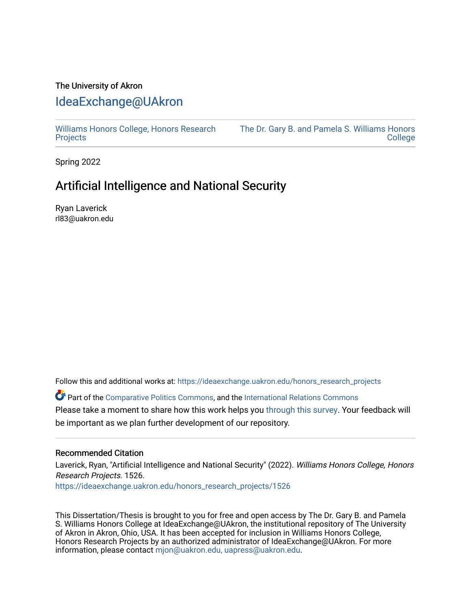## The University of Akron [IdeaExchange@UAkron](https://ideaexchange.uakron.edu/)

[Williams Honors College, Honors Research](https://ideaexchange.uakron.edu/honors_research_projects)  **[Projects](https://ideaexchange.uakron.edu/honors_research_projects)** 

[The Dr. Gary B. and Pamela S. Williams Honors](https://ideaexchange.uakron.edu/honorscollege_ideas)  **College** 

Spring 2022

# Artificial Intelligence and National Security

Ryan Laverick rl83@uakron.edu

Follow this and additional works at: [https://ideaexchange.uakron.edu/honors\\_research\\_projects](https://ideaexchange.uakron.edu/honors_research_projects?utm_source=ideaexchange.uakron.edu%2Fhonors_research_projects%2F1526&utm_medium=PDF&utm_campaign=PDFCoverPages) 

Part of the [Comparative Politics Commons,](http://network.bepress.com/hgg/discipline/388?utm_source=ideaexchange.uakron.edu%2Fhonors_research_projects%2F1526&utm_medium=PDF&utm_campaign=PDFCoverPages) and the [International Relations Commons](http://network.bepress.com/hgg/discipline/389?utm_source=ideaexchange.uakron.edu%2Fhonors_research_projects%2F1526&utm_medium=PDF&utm_campaign=PDFCoverPages) Please take a moment to share how this work helps you [through this survey](http://survey.az1.qualtrics.com/SE/?SID=SV_eEVH54oiCbOw05f&URL=https://ideaexchange.uakron.edu/honors_research_projects/1526). Your feedback will be important as we plan further development of our repository.

### Recommended Citation

Laverick, Ryan, "Artificial Intelligence and National Security" (2022). Williams Honors College, Honors Research Projects. 1526.

[https://ideaexchange.uakron.edu/honors\\_research\\_projects/1526](https://ideaexchange.uakron.edu/honors_research_projects/1526?utm_source=ideaexchange.uakron.edu%2Fhonors_research_projects%2F1526&utm_medium=PDF&utm_campaign=PDFCoverPages) 

This Dissertation/Thesis is brought to you for free and open access by The Dr. Gary B. and Pamela S. Williams Honors College at IdeaExchange@UAkron, the institutional repository of The University of Akron in Akron, Ohio, USA. It has been accepted for inclusion in Williams Honors College, Honors Research Projects by an authorized administrator of IdeaExchange@UAkron. For more information, please contact [mjon@uakron.edu, uapress@uakron.edu.](mailto:mjon@uakron.edu,%20uapress@uakron.edu)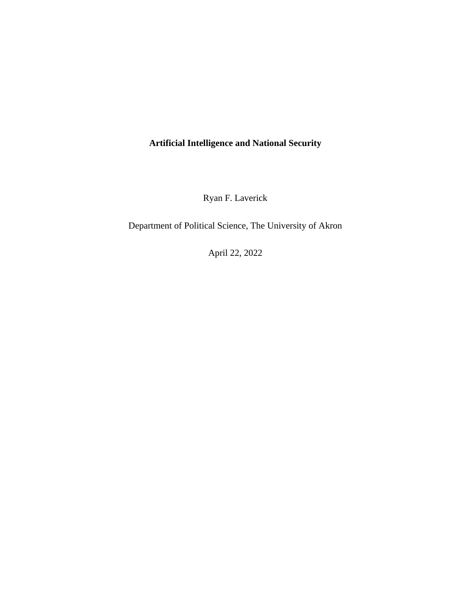## **Artificial Intelligence and National Security**

Ryan F. Laverick

Department of Political Science, The University of Akron

April 22, 2022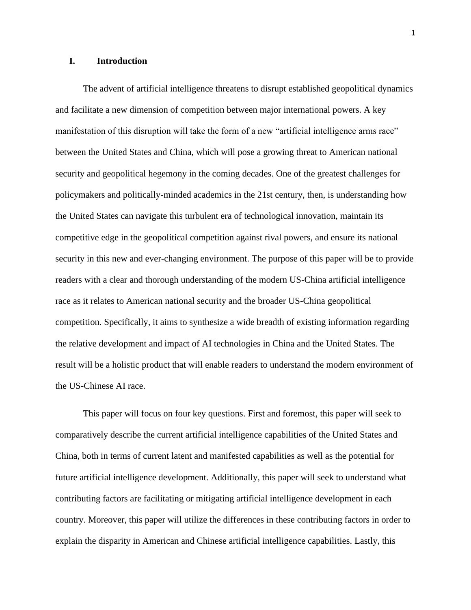## **I. Introduction**

The advent of artificial intelligence threatens to disrupt established geopolitical dynamics and facilitate a new dimension of competition between major international powers. A key manifestation of this disruption will take the form of a new "artificial intelligence arms race" between the United States and China, which will pose a growing threat to American national security and geopolitical hegemony in the coming decades. One of the greatest challenges for policymakers and politically-minded academics in the 21st century, then, is understanding how the United States can navigate this turbulent era of technological innovation, maintain its competitive edge in the geopolitical competition against rival powers, and ensure its national security in this new and ever-changing environment. The purpose of this paper will be to provide readers with a clear and thorough understanding of the modern US-China artificial intelligence race as it relates to American national security and the broader US-China geopolitical competition. Specifically, it aims to synthesize a wide breadth of existing information regarding the relative development and impact of AI technologies in China and the United States. The result will be a holistic product that will enable readers to understand the modern environment of the US-Chinese AI race.

This paper will focus on four key questions. First and foremost, this paper will seek to comparatively describe the current artificial intelligence capabilities of the United States and China, both in terms of current latent and manifested capabilities as well as the potential for future artificial intelligence development. Additionally, this paper will seek to understand what contributing factors are facilitating or mitigating artificial intelligence development in each country. Moreover, this paper will utilize the differences in these contributing factors in order to explain the disparity in American and Chinese artificial intelligence capabilities. Lastly, this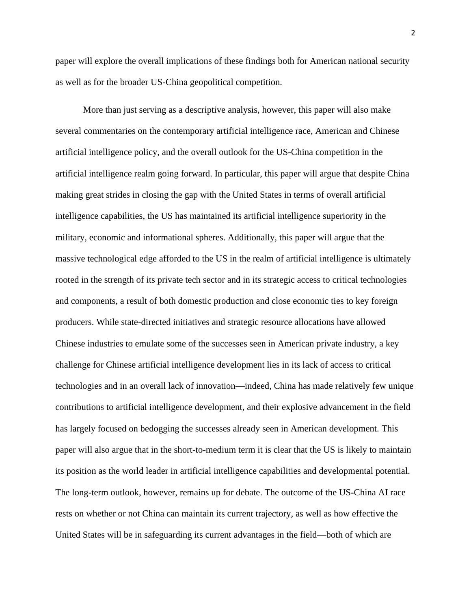paper will explore the overall implications of these findings both for American national security as well as for the broader US-China geopolitical competition.

More than just serving as a descriptive analysis, however, this paper will also make several commentaries on the contemporary artificial intelligence race, American and Chinese artificial intelligence policy, and the overall outlook for the US-China competition in the artificial intelligence realm going forward. In particular, this paper will argue that despite China making great strides in closing the gap with the United States in terms of overall artificial intelligence capabilities, the US has maintained its artificial intelligence superiority in the military, economic and informational spheres. Additionally, this paper will argue that the massive technological edge afforded to the US in the realm of artificial intelligence is ultimately rooted in the strength of its private tech sector and in its strategic access to critical technologies and components, a result of both domestic production and close economic ties to key foreign producers. While state-directed initiatives and strategic resource allocations have allowed Chinese industries to emulate some of the successes seen in American private industry, a key challenge for Chinese artificial intelligence development lies in its lack of access to critical technologies and in an overall lack of innovation—indeed, China has made relatively few unique contributions to artificial intelligence development, and their explosive advancement in the field has largely focused on bedogging the successes already seen in American development. This paper will also argue that in the short-to-medium term it is clear that the US is likely to maintain its position as the world leader in artificial intelligence capabilities and developmental potential. The long-term outlook, however, remains up for debate. The outcome of the US-China AI race rests on whether or not China can maintain its current trajectory, as well as how effective the United States will be in safeguarding its current advantages in the field—both of which are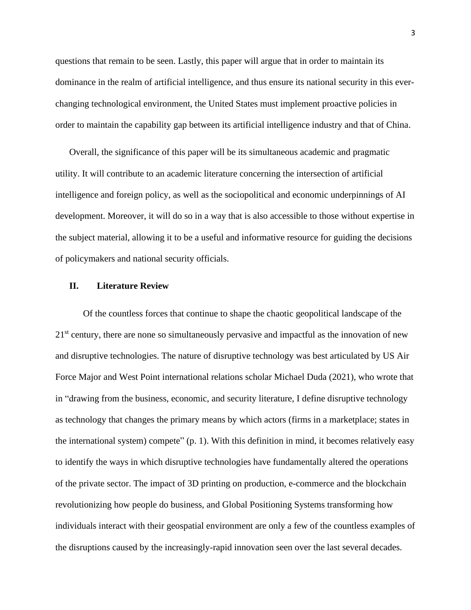questions that remain to be seen. Lastly, this paper will argue that in order to maintain its dominance in the realm of artificial intelligence, and thus ensure its national security in this everchanging technological environment, the United States must implement proactive policies in order to maintain the capability gap between its artificial intelligence industry and that of China.

Overall, the significance of this paper will be its simultaneous academic and pragmatic utility. It will contribute to an academic literature concerning the intersection of artificial intelligence and foreign policy, as well as the sociopolitical and economic underpinnings of AI development. Moreover, it will do so in a way that is also accessible to those without expertise in the subject material, allowing it to be a useful and informative resource for guiding the decisions of policymakers and national security officials.

## **II. Literature Review**

Of the countless forces that continue to shape the chaotic geopolitical landscape of the  $21<sup>st</sup>$  century, there are none so simultaneously pervasive and impactful as the innovation of new and disruptive technologies. The nature of disruptive technology was best articulated by US Air Force Major and West Point international relations scholar Michael Duda (2021), who wrote that in "drawing from the business, economic, and security literature, I define disruptive technology as technology that changes the primary means by which actors (firms in a marketplace; states in the international system) compete" (p. 1). With this definition in mind, it becomes relatively easy to identify the ways in which disruptive technologies have fundamentally altered the operations of the private sector. The impact of 3D printing on production, e-commerce and the blockchain revolutionizing how people do business, and Global Positioning Systems transforming how individuals interact with their geospatial environment are only a few of the countless examples of the disruptions caused by the increasingly-rapid innovation seen over the last several decades.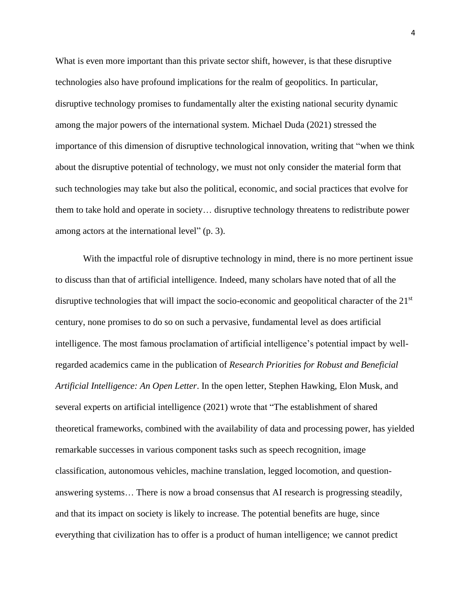What is even more important than this private sector shift, however, is that these disruptive technologies also have profound implications for the realm of geopolitics. In particular, disruptive technology promises to fundamentally alter the existing national security dynamic among the major powers of the international system. Michael Duda (2021) stressed the importance of this dimension of disruptive technological innovation, writing that "when we think about the disruptive potential of technology, we must not only consider the material form that such technologies may take but also the political, economic, and social practices that evolve for them to take hold and operate in society… disruptive technology threatens to redistribute power among actors at the international level" (p. 3).

With the impactful role of disruptive technology in mind, there is no more pertinent issue to discuss than that of artificial intelligence. Indeed, many scholars have noted that of all the disruptive technologies that will impact the socio-economic and geopolitical character of the 21<sup>st</sup> century, none promises to do so on such a pervasive, fundamental level as does artificial intelligence. The most famous proclamation of artificial intelligence's potential impact by wellregarded academics came in the publication of *Research Priorities for Robust and Beneficial Artificial Intelligence: An Open Letter*. In the open letter, Stephen Hawking, Elon Musk, and several experts on artificial intelligence (2021) wrote that "The establishment of shared theoretical frameworks, combined with the availability of data and processing power, has yielded remarkable successes in various component tasks such as speech recognition, image classification, autonomous vehicles, machine translation, legged locomotion, and questionanswering systems… There is now a broad consensus that AI research is progressing steadily, and that its impact on society is likely to increase. The potential benefits are huge, since everything that civilization has to offer is a product of human intelligence; we cannot predict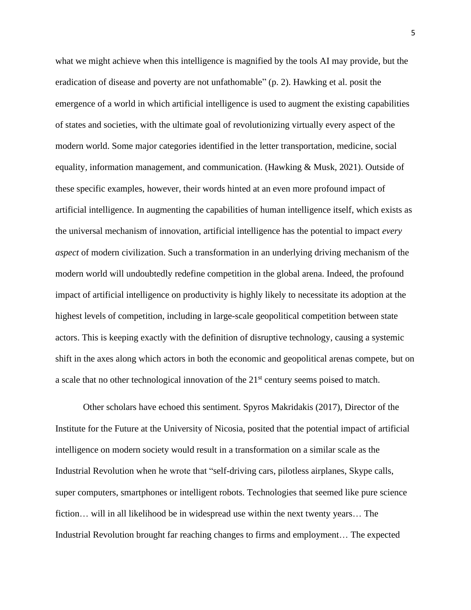what we might achieve when this intelligence is magnified by the tools AI may provide, but the eradication of disease and poverty are not unfathomable" (p. 2). Hawking et al. posit the emergence of a world in which artificial intelligence is used to augment the existing capabilities of states and societies, with the ultimate goal of revolutionizing virtually every aspect of the modern world. Some major categories identified in the letter transportation, medicine, social equality, information management, and communication. (Hawking & Musk, 2021). Outside of these specific examples, however, their words hinted at an even more profound impact of artificial intelligence. In augmenting the capabilities of human intelligence itself, which exists as the universal mechanism of innovation, artificial intelligence has the potential to impact *every aspect* of modern civilization. Such a transformation in an underlying driving mechanism of the modern world will undoubtedly redefine competition in the global arena. Indeed, the profound impact of artificial intelligence on productivity is highly likely to necessitate its adoption at the highest levels of competition, including in large-scale geopolitical competition between state actors. This is keeping exactly with the definition of disruptive technology, causing a systemic shift in the axes along which actors in both the economic and geopolitical arenas compete, but on a scale that no other technological innovation of the 21<sup>st</sup> century seems poised to match.

Other scholars have echoed this sentiment. Spyros Makridakis (2017), Director of the Institute for the Future at the University of Nicosia, posited that the potential impact of artificial intelligence on modern society would result in a transformation on a similar scale as the Industrial Revolution when he wrote that "self-driving cars, pilotless airplanes, Skype calls, super computers, smartphones or intelligent robots. Technologies that seemed like pure science fiction… will in all likelihood be in widespread use within the next twenty years… The Industrial Revolution brought far reaching changes to firms and employment… The expected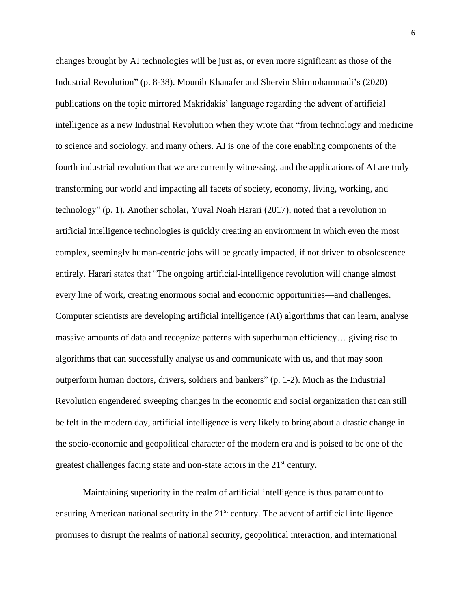changes brought by AI technologies will be just as, or even more significant as those of the Industrial Revolution" (p. 8-38). Mounib Khanafer and Shervin Shirmohammadi's (2020) publications on the topic mirrored Makridakis' language regarding the advent of artificial intelligence as a new Industrial Revolution when they wrote that "from technology and medicine to science and sociology, and many others. AI is one of the core enabling components of the fourth industrial revolution that we are currently witnessing, and the applications of AI are truly transforming our world and impacting all facets of society, economy, living, working, and technology" (p. 1). Another scholar, Yuval Noah Harari (2017), noted that a revolution in artificial intelligence technologies is quickly creating an environment in which even the most complex, seemingly human-centric jobs will be greatly impacted, if not driven to obsolescence entirely. Harari states that "The ongoing artificial-intelligence revolution will change almost every line of work, creating enormous social and economic opportunities—and challenges. Computer scientists are developing artificial intelligence (AI) algorithms that can learn, analyse massive amounts of data and recognize patterns with superhuman efficiency… giving rise to algorithms that can successfully analyse us and communicate with us, and that may soon outperform human doctors, drivers, soldiers and bankers" (p. 1-2). Much as the Industrial Revolution engendered sweeping changes in the economic and social organization that can still be felt in the modern day, artificial intelligence is very likely to bring about a drastic change in the socio-economic and geopolitical character of the modern era and is poised to be one of the greatest challenges facing state and non-state actors in the 21<sup>st</sup> century.

Maintaining superiority in the realm of artificial intelligence is thus paramount to ensuring American national security in the  $21<sup>st</sup>$  century. The advent of artificial intelligence promises to disrupt the realms of national security, geopolitical interaction, and international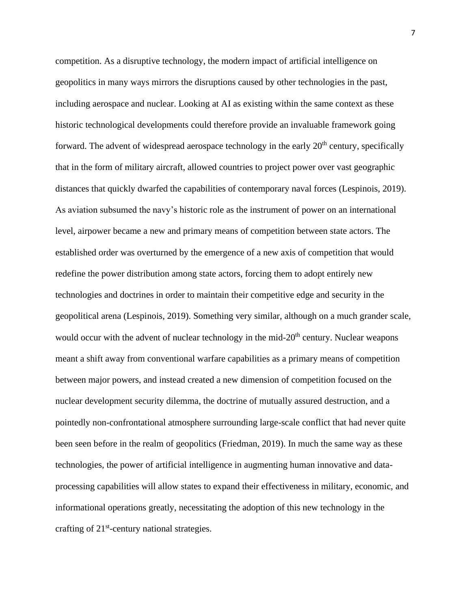competition. As a disruptive technology, the modern impact of artificial intelligence on geopolitics in many ways mirrors the disruptions caused by other technologies in the past, including aerospace and nuclear. Looking at AI as existing within the same context as these historic technological developments could therefore provide an invaluable framework going forward. The advent of widespread aerospace technology in the early 20<sup>th</sup> century, specifically that in the form of military aircraft, allowed countries to project power over vast geographic distances that quickly dwarfed the capabilities of contemporary naval forces (Lespinois, 2019). As aviation subsumed the navy's historic role as the instrument of power on an international level, airpower became a new and primary means of competition between state actors. The established order was overturned by the emergence of a new axis of competition that would redefine the power distribution among state actors, forcing them to adopt entirely new technologies and doctrines in order to maintain their competitive edge and security in the geopolitical arena (Lespinois, 2019). Something very similar, although on a much grander scale, would occur with the advent of nuclear technology in the mid-20<sup>th</sup> century. Nuclear weapons meant a shift away from conventional warfare capabilities as a primary means of competition between major powers, and instead created a new dimension of competition focused on the nuclear development security dilemma, the doctrine of mutually assured destruction, and a pointedly non-confrontational atmosphere surrounding large-scale conflict that had never quite been seen before in the realm of geopolitics (Friedman, 2019). In much the same way as these technologies, the power of artificial intelligence in augmenting human innovative and dataprocessing capabilities will allow states to expand their effectiveness in military, economic, and informational operations greatly, necessitating the adoption of this new technology in the crafting of 21<sup>st</sup>-century national strategies.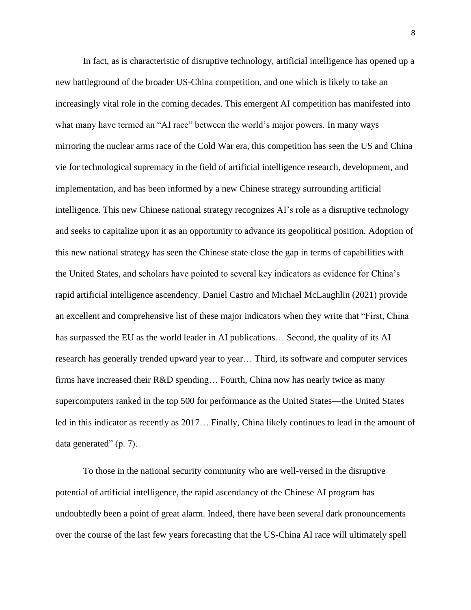In fact, as is characteristic of disruptive technology, artificial intelligence has opened up a new battleground of the broader US-China competition, and one which is likely to take an increasingly vital role in the coming decades. This emergent AI competition has manifested into what many have termed an "AI race" between the world's major powers. In many ways mirroring the nuclear arms race of the Cold War era, this competition has seen the US and China vie for technological supremacy in the field of artificial intelligence research, development, and implementation, and has been informed by a new Chinese strategy surrounding artificial intelligence. This new Chinese national strategy recognizes AI's role as a disruptive technology and seeks to capitalize upon it as an opportunity to advance its geopolitical position. Adoption of this new national strategy has seen the Chinese state close the gap in terms of capabilities with the United States, and scholars have pointed to several key indicators as evidence for China's rapid artificial intelligence ascendency. Daniel Castro and Michael McLaughlin (2021) provide an excellent and comprehensive list of these major indicators when they write that "First, China has surpassed the EU as the world leader in AI publications… Second, the quality of its AI research has generally trended upward year to year… Third, its software and computer services firms have increased their R&D spending… Fourth, China now has nearly twice as many supercomputers ranked in the top 500 for performance as the United States—the United States led in this indicator as recently as 2017… Finally, China likely continues to lead in the amount of data generated" (p. 7).

To those in the national security community who are well-versed in the disruptive potential of artificial intelligence, the rapid ascendancy of the Chinese AI program has undoubtedly been a point of great alarm. Indeed, there have been several dark pronouncements over the course of the last few years forecasting that the US-China AI race will ultimately spell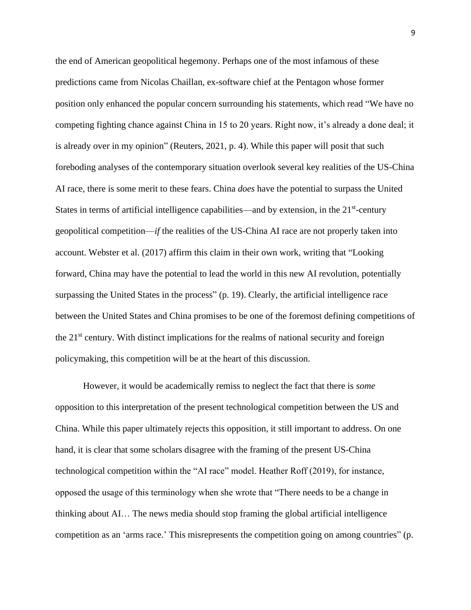the end of American geopolitical hegemony. Perhaps one of the most infamous of these predictions came from Nicolas Chaillan, ex-software chief at the Pentagon whose former position only enhanced the popular concern surrounding his statements, which read "We have no competing fighting chance against China in 15 to 20 years. Right now, it's already a done deal; it is already over in my opinion" (Reuters, 2021, p. 4). While this paper will posit that such foreboding analyses of the contemporary situation overlook several key realities of the US-China AI race, there is some merit to these fears. China *does* have the potential to surpass the United States in terms of artificial intelligence capabilities—and by extension, in the 21<sup>st</sup>-century geopolitical competition—*if* the realities of the US-China AI race are not properly taken into account. Webster et al. (2017) affirm this claim in their own work, writing that "Looking forward, China may have the potential to lead the world in this new AI revolution, potentially surpassing the United States in the process" (p. 19). Clearly, the artificial intelligence race between the United States and China promises to be one of the foremost defining competitions of the 21st century. With distinct implications for the realms of national security and foreign policymaking, this competition will be at the heart of this discussion.

However, it would be academically remiss to neglect the fact that there is *some* opposition to this interpretation of the present technological competition between the US and China. While this paper ultimately rejects this opposition, it still important to address. On one hand, it is clear that some scholars disagree with the framing of the present US-China technological competition within the "AI race" model. Heather Roff (2019), for instance, opposed the usage of this terminology when she wrote that "There needs to be a change in thinking about AI… The news media should stop framing the global artificial intelligence competition as an 'arms race.' This misrepresents the competition going on among countries" (p.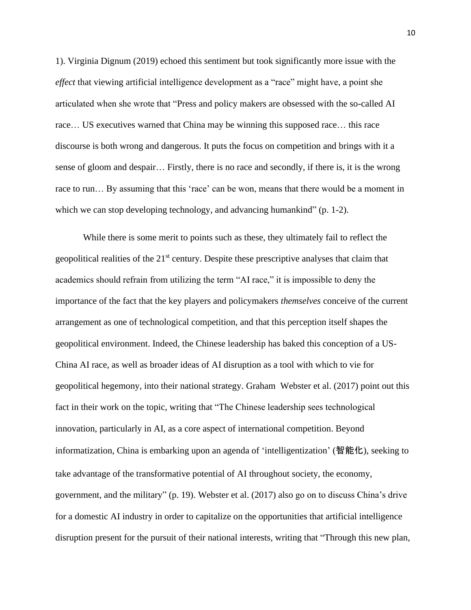1). Virginia Dignum (2019) echoed this sentiment but took significantly more issue with the *effect* that viewing artificial intelligence development as a "race" might have, a point she articulated when she wrote that "Press and policy makers are obsessed with the so-called AI race… US executives warned that China may be winning this supposed race… this race discourse is both wrong and dangerous. It puts the focus on competition and brings with it a sense of gloom and despair… Firstly, there is no race and secondly, if there is, it is the wrong race to run... By assuming that this 'race' can be won, means that there would be a moment in which we can stop developing technology, and advancing humankind" (p. 1-2).

While there is some merit to points such as these, they ultimately fail to reflect the geopolitical realities of the 21<sup>st</sup> century. Despite these prescriptive analyses that claim that academics should refrain from utilizing the term "AI race," it is impossible to deny the importance of the fact that the key players and policymakers *themselves* conceive of the current arrangement as one of technological competition, and that this perception itself shapes the geopolitical environment. Indeed, the Chinese leadership has baked this conception of a US-China AI race, as well as broader ideas of AI disruption as a tool with which to vie for geopolitical hegemony, into their national strategy. Graham Webster et al. (2017) point out this fact in their work on the topic, writing that "The Chinese leadership sees technological innovation, particularly in AI, as a core aspect of international competition. Beyond informatization, China is embarking upon an agenda of 'intelligentization' (智能化), seeking to take advantage of the transformative potential of AI throughout society, the economy, government, and the military" (p. 19). Webster et al. (2017) also go on to discuss China's drive for a domestic AI industry in order to capitalize on the opportunities that artificial intelligence disruption present for the pursuit of their national interests, writing that "Through this new plan,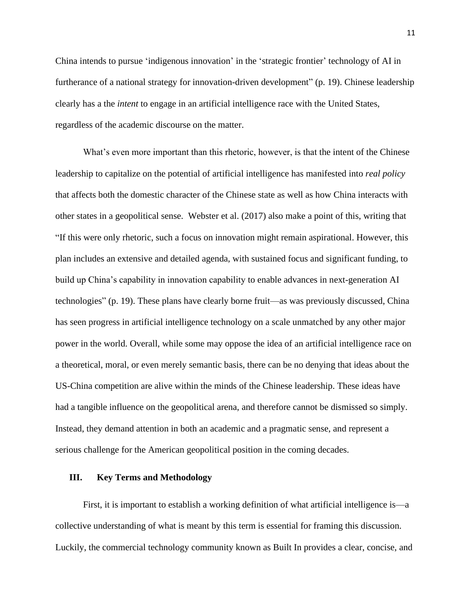China intends to pursue 'indigenous innovation' in the 'strategic frontier' technology of AI in furtherance of a national strategy for innovation-driven development" (p. 19). Chinese leadership clearly has a the *intent* to engage in an artificial intelligence race with the United States, regardless of the academic discourse on the matter.

What's even more important than this rhetoric, however, is that the intent of the Chinese leadership to capitalize on the potential of artificial intelligence has manifested into *real policy* that affects both the domestic character of the Chinese state as well as how China interacts with other states in a geopolitical sense. Webster et al. (2017) also make a point of this, writing that "If this were only rhetoric, such a focus on innovation might remain aspirational. However, this plan includes an extensive and detailed agenda, with sustained focus and significant funding, to build up China's capability in innovation capability to enable advances in next-generation AI technologies" (p. 19). These plans have clearly borne fruit—as was previously discussed, China has seen progress in artificial intelligence technology on a scale unmatched by any other major power in the world. Overall, while some may oppose the idea of an artificial intelligence race on a theoretical, moral, or even merely semantic basis, there can be no denying that ideas about the US-China competition are alive within the minds of the Chinese leadership. These ideas have had a tangible influence on the geopolitical arena, and therefore cannot be dismissed so simply. Instead, they demand attention in both an academic and a pragmatic sense, and represent a serious challenge for the American geopolitical position in the coming decades.

#### **III. Key Terms and Methodology**

First, it is important to establish a working definition of what artificial intelligence is—a collective understanding of what is meant by this term is essential for framing this discussion. Luckily, the commercial technology community known as Built In provides a clear, concise, and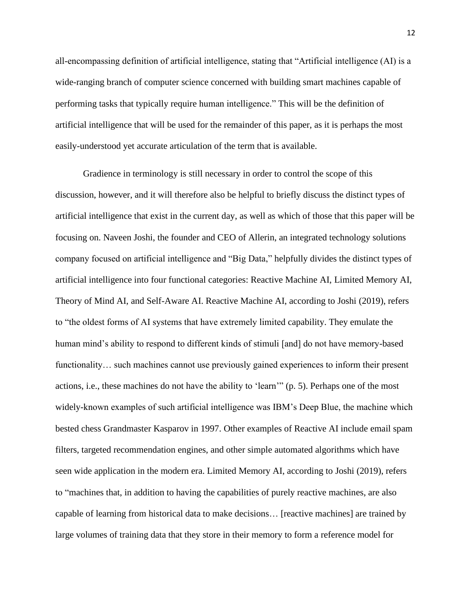all-encompassing definition of artificial intelligence, stating that "Artificial intelligence (AI) is a wide-ranging branch of computer science concerned with building smart machines capable of performing tasks that typically require human intelligence." This will be the definition of artificial intelligence that will be used for the remainder of this paper, as it is perhaps the most easily-understood yet accurate articulation of the term that is available.

Gradience in terminology is still necessary in order to control the scope of this discussion, however, and it will therefore also be helpful to briefly discuss the distinct types of artificial intelligence that exist in the current day, as well as which of those that this paper will be focusing on. Naveen Joshi, the founder and CEO of Allerin, an integrated technology solutions company focused on artificial intelligence and "Big Data," helpfully divides the distinct types of artificial intelligence into four functional categories: Reactive Machine AI, Limited Memory AI, Theory of Mind AI, and Self-Aware AI. Reactive Machine AI, according to Joshi (2019), refers to "the oldest forms of AI systems that have extremely limited capability. They emulate the human mind's ability to respond to different kinds of stimuli [and] do not have memory-based functionality... such machines cannot use previously gained experiences to inform their present actions, i.e., these machines do not have the ability to 'learn'" (p. 5). Perhaps one of the most widely-known examples of such artificial intelligence was IBM's Deep Blue, the machine which bested chess Grandmaster Kasparov in 1997. Other examples of Reactive AI include email spam filters, targeted recommendation engines, and other simple automated algorithms which have seen wide application in the modern era. Limited Memory AI, according to Joshi (2019), refers to "machines that, in addition to having the capabilities of purely reactive machines, are also capable of learning from historical data to make decisions… [reactive machines] are trained by large volumes of training data that they store in their memory to form a reference model for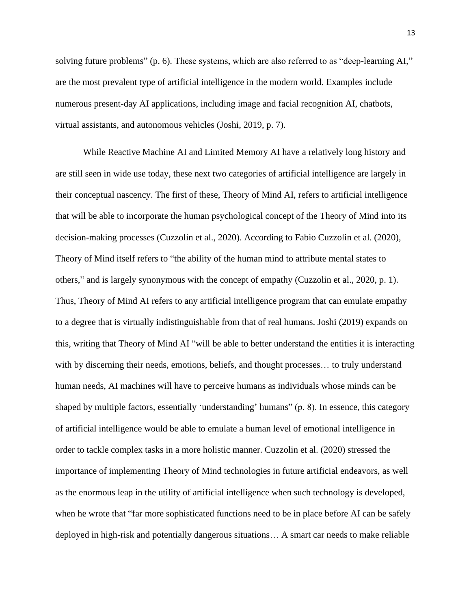solving future problems" (p. 6). These systems, which are also referred to as "deep-learning AI," are the most prevalent type of artificial intelligence in the modern world. Examples include numerous present-day AI applications, including image and facial recognition AI, chatbots, virtual assistants, and autonomous vehicles (Joshi, 2019, p. 7).

While Reactive Machine AI and Limited Memory AI have a relatively long history and are still seen in wide use today, these next two categories of artificial intelligence are largely in their conceptual nascency. The first of these, Theory of Mind AI, refers to artificial intelligence that will be able to incorporate the human psychological concept of the Theory of Mind into its decision-making processes (Cuzzolin et al., 2020). According to Fabio Cuzzolin et al. (2020), Theory of Mind itself refers to "the ability of the human mind to attribute mental states to others," and is largely synonymous with the concept of empathy (Cuzzolin et al., 2020, p. 1). Thus, Theory of Mind AI refers to any artificial intelligence program that can emulate empathy to a degree that is virtually indistinguishable from that of real humans. Joshi (2019) expands on this, writing that Theory of Mind AI "will be able to better understand the entities it is interacting with by discerning their needs, emotions, beliefs, and thought processes... to truly understand human needs, AI machines will have to perceive humans as individuals whose minds can be shaped by multiple factors, essentially 'understanding' humans" (p. 8). In essence, this category of artificial intelligence would be able to emulate a human level of emotional intelligence in order to tackle complex tasks in a more holistic manner. Cuzzolin et al. (2020) stressed the importance of implementing Theory of Mind technologies in future artificial endeavors, as well as the enormous leap in the utility of artificial intelligence when such technology is developed, when he wrote that "far more sophisticated functions need to be in place before AI can be safely deployed in high-risk and potentially dangerous situations… A smart car needs to make reliable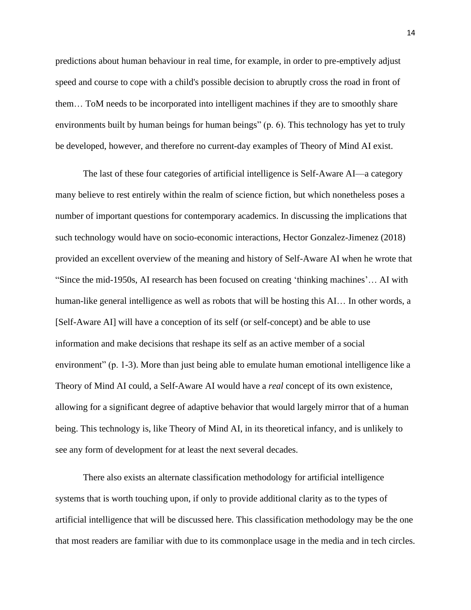predictions about human behaviour in real time, for example, in order to pre-emptively adjust speed and course to cope with a child's possible decision to abruptly cross the road in front of them… ToM needs to be incorporated into intelligent machines if they are to smoothly share environments built by human beings for human beings" (p. 6). This technology has yet to truly be developed, however, and therefore no current-day examples of Theory of Mind AI exist.

The last of these four categories of artificial intelligence is Self-Aware AI—a category many believe to rest entirely within the realm of science fiction, but which nonetheless poses a number of important questions for contemporary academics. In discussing the implications that such technology would have on socio-economic interactions, Hector Gonzalez-Jimenez (2018) provided an excellent overview of the meaning and history of Self-Aware AI when he wrote that "Since the mid-1950s, AI research has been focused on creating 'thinking machines'… AI with human-like general intelligence as well as robots that will be hosting this AI… In other words, a [Self-Aware AI] will have a conception of its self (or self-concept) and be able to use information and make decisions that reshape its self as an active member of a social environment" (p. 1-3). More than just being able to emulate human emotional intelligence like a Theory of Mind AI could, a Self-Aware AI would have a *real* concept of its own existence, allowing for a significant degree of adaptive behavior that would largely mirror that of a human being. This technology is, like Theory of Mind AI, in its theoretical infancy, and is unlikely to see any form of development for at least the next several decades.

There also exists an alternate classification methodology for artificial intelligence systems that is worth touching upon, if only to provide additional clarity as to the types of artificial intelligence that will be discussed here. This classification methodology may be the one that most readers are familiar with due to its commonplace usage in the media and in tech circles.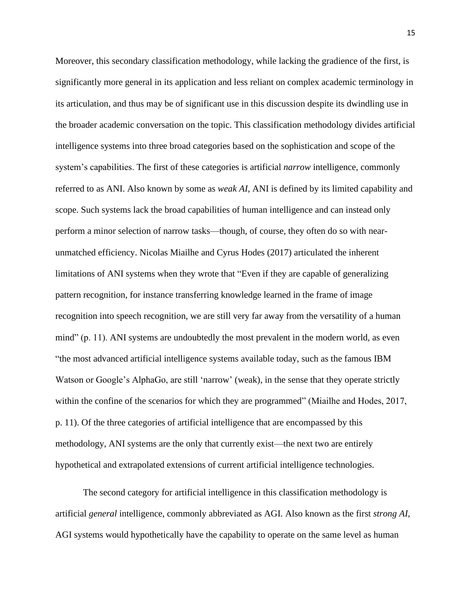Moreover, this secondary classification methodology, while lacking the gradience of the first, is significantly more general in its application and less reliant on complex academic terminology in its articulation, and thus may be of significant use in this discussion despite its dwindling use in the broader academic conversation on the topic. This classification methodology divides artificial intelligence systems into three broad categories based on the sophistication and scope of the system's capabilities. The first of these categories is artificial *narrow* intelligence, commonly referred to as ANI. Also known by some as *weak AI*, ANI is defined by its limited capability and scope. Such systems lack the broad capabilities of human intelligence and can instead only perform a minor selection of narrow tasks—though, of course, they often do so with nearunmatched efficiency. Nicolas Miailhe and Cyrus Hodes (2017) articulated the inherent limitations of ANI systems when they wrote that "Even if they are capable of generalizing pattern recognition, for instance transferring knowledge learned in the frame of image recognition into speech recognition, we are still very far away from the versatility of a human mind" (p. 11). ANI systems are undoubtedly the most prevalent in the modern world, as even "the most advanced artificial intelligence systems available today, such as the famous IBM Watson or Google's AlphaGo, are still 'narrow' (weak), in the sense that they operate strictly within the confine of the scenarios for which they are programmed" (Miailhe and Hodes, 2017, p. 11). Of the three categories of artificial intelligence that are encompassed by this methodology, ANI systems are the only that currently exist—the next two are entirely hypothetical and extrapolated extensions of current artificial intelligence technologies.

The second category for artificial intelligence in this classification methodology is artificial *general* intelligence, commonly abbreviated as AGI. Also known as the first *strong AI*, AGI systems would hypothetically have the capability to operate on the same level as human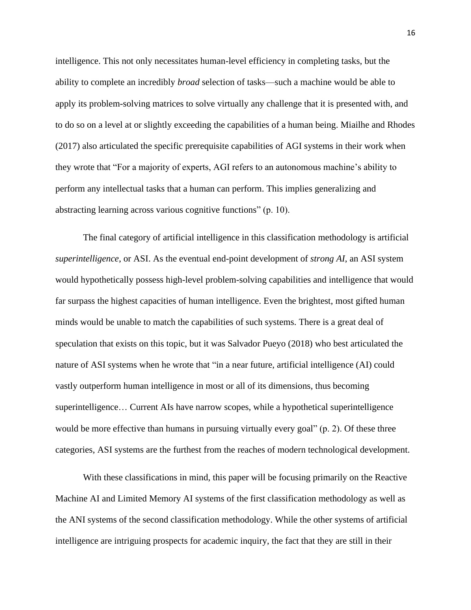intelligence. This not only necessitates human-level efficiency in completing tasks, but the ability to complete an incredibly *broad* selection of tasks—such a machine would be able to apply its problem-solving matrices to solve virtually any challenge that it is presented with, and to do so on a level at or slightly exceeding the capabilities of a human being. Miailhe and Rhodes (2017) also articulated the specific prerequisite capabilities of AGI systems in their work when they wrote that "For a majority of experts, AGI refers to an autonomous machine's ability to perform any intellectual tasks that a human can perform. This implies generalizing and abstracting learning across various cognitive functions" (p. 10).

The final category of artificial intelligence in this classification methodology is artificial *superintelligence*, or ASI. As the eventual end-point development of *strong AI*, an ASI system would hypothetically possess high-level problem-solving capabilities and intelligence that would far surpass the highest capacities of human intelligence. Even the brightest, most gifted human minds would be unable to match the capabilities of such systems. There is a great deal of speculation that exists on this topic, but it was Salvador Pueyo (2018) who best articulated the nature of ASI systems when he wrote that "in a near future, artificial intelligence (AI) could vastly outperform human intelligence in most or all of its dimensions, thus becoming superintelligence… Current AIs have narrow scopes, while a hypothetical superintelligence would be more effective than humans in pursuing virtually every goal" (p. 2). Of these three categories, ASI systems are the furthest from the reaches of modern technological development.

With these classifications in mind, this paper will be focusing primarily on the Reactive Machine AI and Limited Memory AI systems of the first classification methodology as well as the ANI systems of the second classification methodology. While the other systems of artificial intelligence are intriguing prospects for academic inquiry, the fact that they are still in their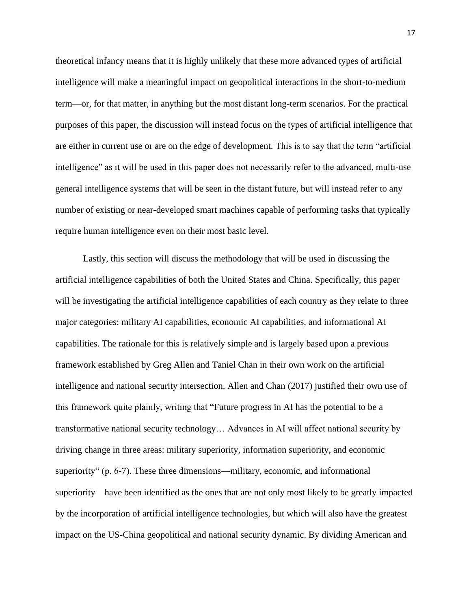theoretical infancy means that it is highly unlikely that these more advanced types of artificial intelligence will make a meaningful impact on geopolitical interactions in the short-to-medium term—or, for that matter, in anything but the most distant long-term scenarios. For the practical purposes of this paper, the discussion will instead focus on the types of artificial intelligence that are either in current use or are on the edge of development. This is to say that the term "artificial intelligence" as it will be used in this paper does not necessarily refer to the advanced, multi-use general intelligence systems that will be seen in the distant future, but will instead refer to any number of existing or near-developed smart machines capable of performing tasks that typically require human intelligence even on their most basic level.

Lastly, this section will discuss the methodology that will be used in discussing the artificial intelligence capabilities of both the United States and China. Specifically, this paper will be investigating the artificial intelligence capabilities of each country as they relate to three major categories: military AI capabilities, economic AI capabilities, and informational AI capabilities. The rationale for this is relatively simple and is largely based upon a previous framework established by Greg Allen and Taniel Chan in their own work on the artificial intelligence and national security intersection. Allen and Chan (2017) justified their own use of this framework quite plainly, writing that "Future progress in AI has the potential to be a transformative national security technology… Advances in AI will affect national security by driving change in three areas: military superiority, information superiority, and economic superiority" (p. 6-7). These three dimensions—military, economic, and informational superiority—have been identified as the ones that are not only most likely to be greatly impacted by the incorporation of artificial intelligence technologies, but which will also have the greatest impact on the US-China geopolitical and national security dynamic. By dividing American and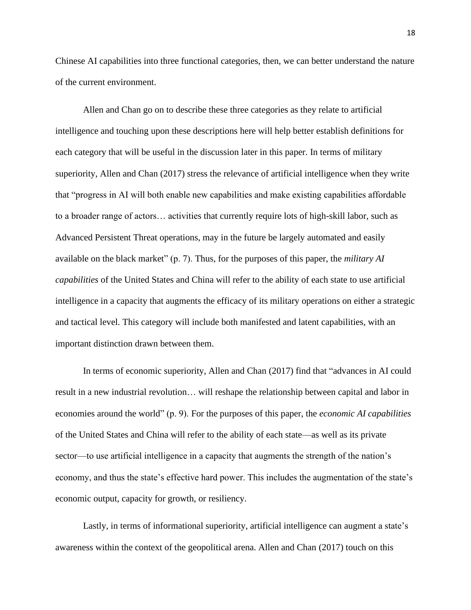Chinese AI capabilities into three functional categories, then, we can better understand the nature of the current environment.

Allen and Chan go on to describe these three categories as they relate to artificial intelligence and touching upon these descriptions here will help better establish definitions for each category that will be useful in the discussion later in this paper. In terms of military superiority, Allen and Chan (2017) stress the relevance of artificial intelligence when they write that "progress in AI will both enable new capabilities and make existing capabilities affordable to a broader range of actors… activities that currently require lots of high-skill labor, such as Advanced Persistent Threat operations, may in the future be largely automated and easily available on the black market" (p. 7). Thus, for the purposes of this paper, the *military AI capabilities* of the United States and China will refer to the ability of each state to use artificial intelligence in a capacity that augments the efficacy of its military operations on either a strategic and tactical level. This category will include both manifested and latent capabilities, with an important distinction drawn between them.

In terms of economic superiority, Allen and Chan (2017) find that "advances in AI could result in a new industrial revolution… will reshape the relationship between capital and labor in economies around the world" (p. 9). For the purposes of this paper, the *economic AI capabilities* of the United States and China will refer to the ability of each state—as well as its private sector—to use artificial intelligence in a capacity that augments the strength of the nation's economy, and thus the state's effective hard power. This includes the augmentation of the state's economic output, capacity for growth, or resiliency.

Lastly, in terms of informational superiority, artificial intelligence can augment a state's awareness within the context of the geopolitical arena. Allen and Chan (2017) touch on this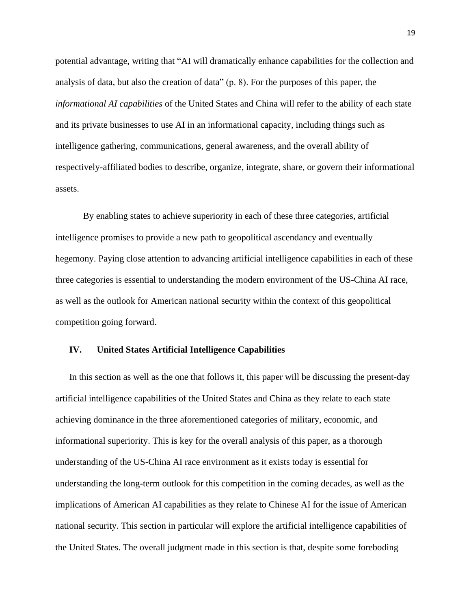potential advantage, writing that "AI will dramatically enhance capabilities for the collection and analysis of data, but also the creation of data" (p. 8). For the purposes of this paper, the *informational AI capabilities* of the United States and China will refer to the ability of each state and its private businesses to use AI in an informational capacity, including things such as intelligence gathering, communications, general awareness, and the overall ability of respectively-affiliated bodies to describe, organize, integrate, share, or govern their informational assets.

By enabling states to achieve superiority in each of these three categories, artificial intelligence promises to provide a new path to geopolitical ascendancy and eventually hegemony. Paying close attention to advancing artificial intelligence capabilities in each of these three categories is essential to understanding the modern environment of the US-China AI race, as well as the outlook for American national security within the context of this geopolitical competition going forward.

#### **IV. United States Artificial Intelligence Capabilities**

In this section as well as the one that follows it, this paper will be discussing the present-day artificial intelligence capabilities of the United States and China as they relate to each state achieving dominance in the three aforementioned categories of military, economic, and informational superiority. This is key for the overall analysis of this paper, as a thorough understanding of the US-China AI race environment as it exists today is essential for understanding the long-term outlook for this competition in the coming decades, as well as the implications of American AI capabilities as they relate to Chinese AI for the issue of American national security. This section in particular will explore the artificial intelligence capabilities of the United States. The overall judgment made in this section is that, despite some foreboding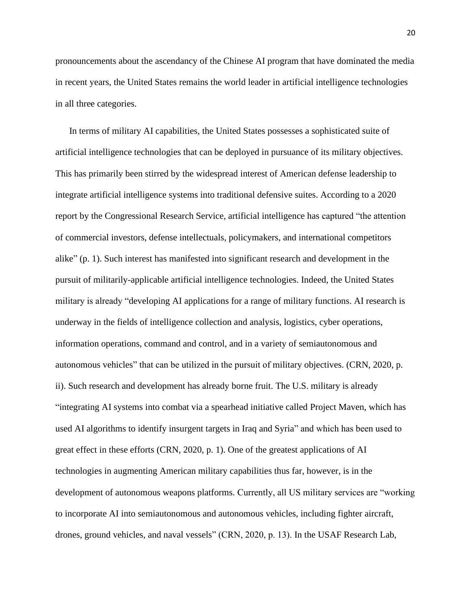pronouncements about the ascendancy of the Chinese AI program that have dominated the media in recent years, the United States remains the world leader in artificial intelligence technologies in all three categories.

In terms of military AI capabilities, the United States possesses a sophisticated suite of artificial intelligence technologies that can be deployed in pursuance of its military objectives. This has primarily been stirred by the widespread interest of American defense leadership to integrate artificial intelligence systems into traditional defensive suites. According to a 2020 report by the Congressional Research Service, artificial intelligence has captured "the attention of commercial investors, defense intellectuals, policymakers, and international competitors alike" (p. 1). Such interest has manifested into significant research and development in the pursuit of militarily-applicable artificial intelligence technologies. Indeed, the United States military is already "developing AI applications for a range of military functions. AI research is underway in the fields of intelligence collection and analysis, logistics, cyber operations, information operations, command and control, and in a variety of semiautonomous and autonomous vehicles" that can be utilized in the pursuit of military objectives. (CRN, 2020, p. ii). Such research and development has already borne fruit. The U.S. military is already "integrating AI systems into combat via a spearhead initiative called Project Maven, which has used AI algorithms to identify insurgent targets in Iraq and Syria" and which has been used to great effect in these efforts (CRN, 2020, p. 1). One of the greatest applications of AI technologies in augmenting American military capabilities thus far, however, is in the development of autonomous weapons platforms. Currently, all US military services are "working to incorporate AI into semiautonomous and autonomous vehicles, including fighter aircraft, drones, ground vehicles, and naval vessels" (CRN, 2020, p. 13). In the USAF Research Lab,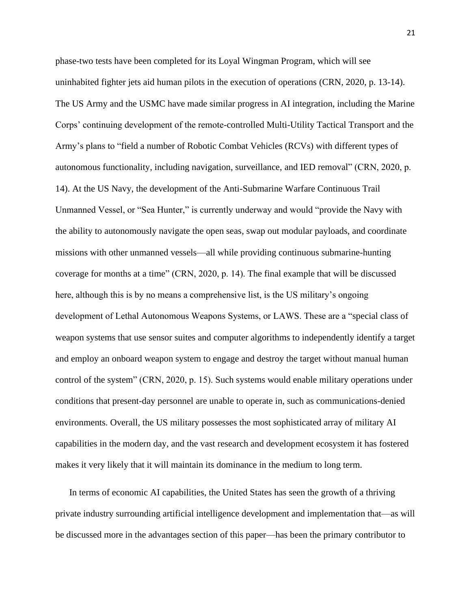phase-two tests have been completed for its Loyal Wingman Program, which will see uninhabited fighter jets aid human pilots in the execution of operations (CRN, 2020, p. 13-14). The US Army and the USMC have made similar progress in AI integration, including the Marine Corps' continuing development of the remote-controlled Multi-Utility Tactical Transport and the Army's plans to "field a number of Robotic Combat Vehicles (RCVs) with different types of autonomous functionality, including navigation, surveillance, and IED removal" (CRN, 2020, p. 14). At the US Navy, the development of the Anti-Submarine Warfare Continuous Trail Unmanned Vessel, or "Sea Hunter," is currently underway and would "provide the Navy with the ability to autonomously navigate the open seas, swap out modular payloads, and coordinate missions with other unmanned vessels—all while providing continuous submarine-hunting coverage for months at a time" (CRN, 2020, p. 14). The final example that will be discussed here, although this is by no means a comprehensive list, is the US military's ongoing development of Lethal Autonomous Weapons Systems, or LAWS. These are a "special class of weapon systems that use sensor suites and computer algorithms to independently identify a target and employ an onboard weapon system to engage and destroy the target without manual human control of the system" (CRN, 2020, p. 15). Such systems would enable military operations under conditions that present-day personnel are unable to operate in, such as communications-denied environments. Overall, the US military possesses the most sophisticated array of military AI capabilities in the modern day, and the vast research and development ecosystem it has fostered makes it very likely that it will maintain its dominance in the medium to long term.

In terms of economic AI capabilities, the United States has seen the growth of a thriving private industry surrounding artificial intelligence development and implementation that—as will be discussed more in the advantages section of this paper—has been the primary contributor to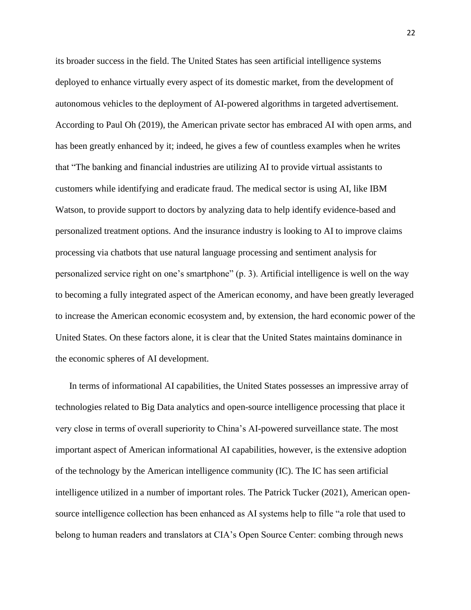its broader success in the field. The United States has seen artificial intelligence systems deployed to enhance virtually every aspect of its domestic market, from the development of autonomous vehicles to the deployment of AI-powered algorithms in targeted advertisement. According to Paul Oh (2019), the American private sector has embraced AI with open arms, and has been greatly enhanced by it; indeed, he gives a few of countless examples when he writes that "The banking and financial industries are utilizing AI to provide virtual assistants to customers while identifying and eradicate fraud. The medical sector is using AI, like IBM Watson, to provide support to doctors by analyzing data to help identify evidence-based and personalized treatment options. And the insurance industry is looking to AI to improve claims processing via chatbots that use natural language processing and sentiment analysis for personalized service right on one's smartphone" (p. 3). Artificial intelligence is well on the way to becoming a fully integrated aspect of the American economy, and have been greatly leveraged to increase the American economic ecosystem and, by extension, the hard economic power of the United States. On these factors alone, it is clear that the United States maintains dominance in the economic spheres of AI development.

In terms of informational AI capabilities, the United States possesses an impressive array of technologies related to Big Data analytics and open-source intelligence processing that place it very close in terms of overall superiority to China's AI-powered surveillance state. The most important aspect of American informational AI capabilities, however, is the extensive adoption of the technology by the American intelligence community (IC). The IC has seen artificial intelligence utilized in a number of important roles. The Patrick Tucker (2021), American opensource intelligence collection has been enhanced as AI systems help to fille "a role that used to belong to human readers and translators at CIA's Open Source Center: combing through news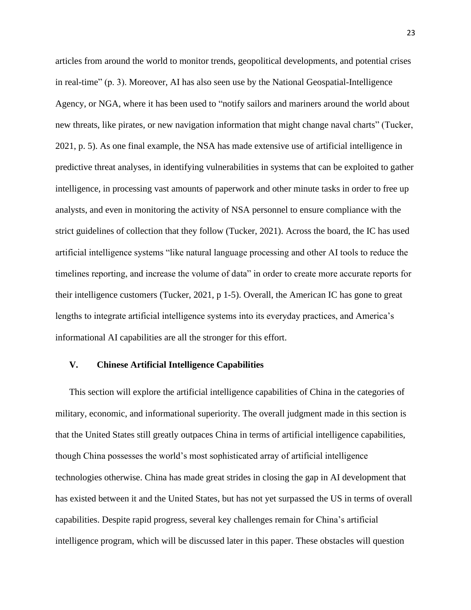articles from around the world to monitor trends, geopolitical developments, and potential crises in real-time" (p. 3). Moreover, AI has also seen use by the National Geospatial-Intelligence Agency, or NGA, where it has been used to "notify sailors and mariners around the world about new threats, like pirates, or new navigation information that might change naval charts" (Tucker, 2021, p. 5). As one final example, the NSA has made extensive use of artificial intelligence in predictive threat analyses, in identifying vulnerabilities in systems that can be exploited to gather intelligence, in processing vast amounts of paperwork and other minute tasks in order to free up analysts, and even in monitoring the activity of NSA personnel to ensure compliance with the strict guidelines of collection that they follow (Tucker, 2021). Across the board, the IC has used artificial intelligence systems "like natural language processing and other AI tools to reduce the timelines reporting, and increase the volume of data" in order to create more accurate reports for their intelligence customers (Tucker, 2021, p 1-5). Overall, the American IC has gone to great lengths to integrate artificial intelligence systems into its everyday practices, and America's informational AI capabilities are all the stronger for this effort.

### **V. Chinese Artificial Intelligence Capabilities**

This section will explore the artificial intelligence capabilities of China in the categories of military, economic, and informational superiority. The overall judgment made in this section is that the United States still greatly outpaces China in terms of artificial intelligence capabilities, though China possesses the world's most sophisticated array of artificial intelligence technologies otherwise. China has made great strides in closing the gap in AI development that has existed between it and the United States, but has not yet surpassed the US in terms of overall capabilities. Despite rapid progress, several key challenges remain for China's artificial intelligence program, which will be discussed later in this paper. These obstacles will question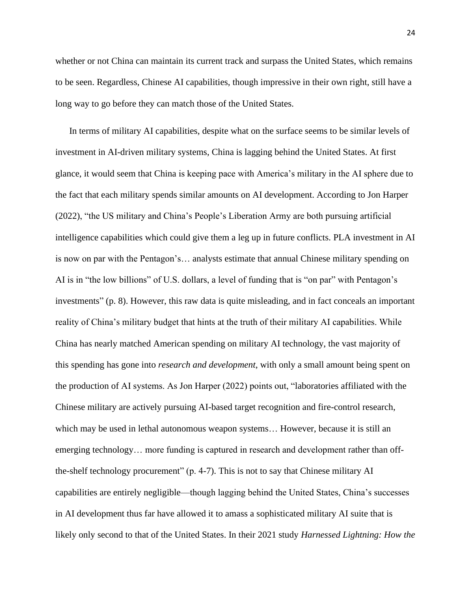whether or not China can maintain its current track and surpass the United States, which remains to be seen. Regardless, Chinese AI capabilities, though impressive in their own right, still have a long way to go before they can match those of the United States.

In terms of military AI capabilities, despite what on the surface seems to be similar levels of investment in AI-driven military systems, China is lagging behind the United States. At first glance, it would seem that China is keeping pace with America's military in the AI sphere due to the fact that each military spends similar amounts on AI development. According to Jon Harper (2022), "the US military and China's People's Liberation Army are both pursuing artificial intelligence capabilities which could give them a leg up in future conflicts. PLA investment in AI is now on par with the Pentagon's… analysts estimate that annual Chinese military spending on AI is in "the low billions" of U.S. dollars, a level of funding that is "on par" with Pentagon's investments" (p. 8). However, this raw data is quite misleading, and in fact conceals an important reality of China's military budget that hints at the truth of their military AI capabilities. While China has nearly matched American spending on military AI technology, the vast majority of this spending has gone into *research and development*, with only a small amount being spent on the production of AI systems. As Jon Harper (2022) points out, "laboratories affiliated with the Chinese military are actively pursuing AI-based target recognition and fire-control research, which may be used in lethal autonomous weapon systems… However, because it is still an emerging technology… more funding is captured in research and development rather than offthe-shelf technology procurement" (p. 4-7). This is not to say that Chinese military AI capabilities are entirely negligible—though lagging behind the United States, China's successes in AI development thus far have allowed it to amass a sophisticated military AI suite that is likely only second to that of the United States. In their 2021 study *Harnessed Lightning: How the*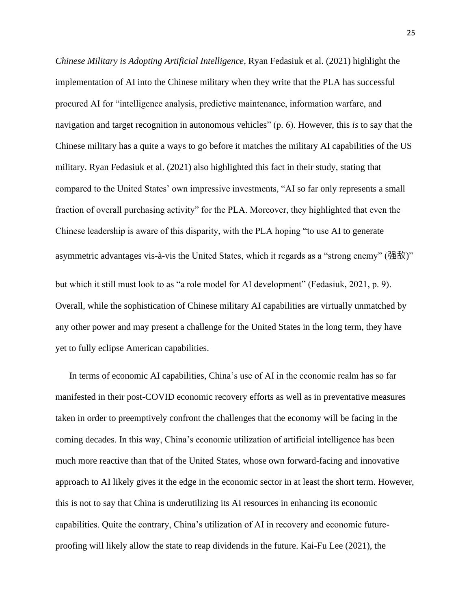*Chinese Military is Adopting Artificial Intelligence*, Ryan Fedasiuk et al. (2021) highlight the implementation of AI into the Chinese military when they write that the PLA has successful procured AI for "intelligence analysis, predictive maintenance, information warfare, and navigation and target recognition in autonomous vehicles" (p. 6). However, this *is* to say that the Chinese military has a quite a ways to go before it matches the military AI capabilities of the US military. Ryan Fedasiuk et al. (2021) also highlighted this fact in their study, stating that compared to the United States' own impressive investments, "AI so far only represents a small fraction of overall purchasing activity" for the PLA. Moreover, they highlighted that even the Chinese leadership is aware of this disparity, with the PLA hoping "to use AI to generate asymmetric advantages vis-à-vis the United States, which it regards as a "strong enemy" (强敌)" but which it still must look to as "a role model for AI development" (Fedasiuk, 2021, p. 9). Overall, while the sophistication of Chinese military AI capabilities are virtually unmatched by any other power and may present a challenge for the United States in the long term, they have yet to fully eclipse American capabilities.

In terms of economic AI capabilities, China's use of AI in the economic realm has so far manifested in their post-COVID economic recovery efforts as well as in preventative measures taken in order to preemptively confront the challenges that the economy will be facing in the coming decades. In this way, China's economic utilization of artificial intelligence has been much more reactive than that of the United States, whose own forward-facing and innovative approach to AI likely gives it the edge in the economic sector in at least the short term. However, this is not to say that China is underutilizing its AI resources in enhancing its economic capabilities. Quite the contrary, China's utilization of AI in recovery and economic futureproofing will likely allow the state to reap dividends in the future. Kai-Fu Lee (2021), the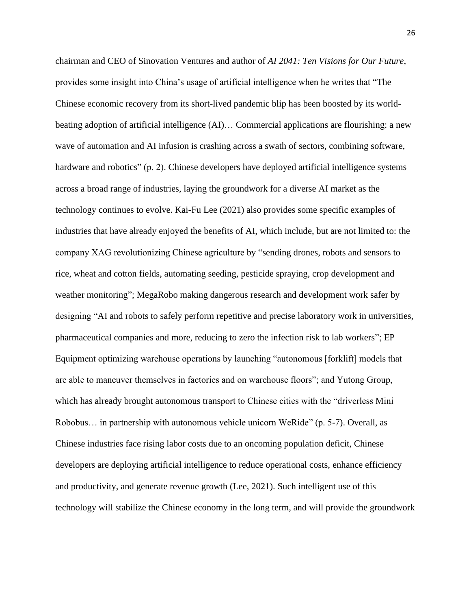chairman and CEO of Sinovation Ventures and author of *AI 2041: Ten Visions for Our Future*, provides some insight into China's usage of artificial intelligence when he writes that "The Chinese economic recovery from its short-lived pandemic blip has been boosted by its worldbeating adoption of artificial intelligence (AI)... Commercial applications are flourishing: a new wave of automation and AI infusion is crashing across a swath of sectors, combining software, hardware and robotics" (p. 2). Chinese developers have deployed artificial intelligence systems across a broad range of industries, laying the groundwork for a diverse AI market as the technology continues to evolve. Kai-Fu Lee (2021) also provides some specific examples of industries that have already enjoyed the benefits of AI, which include, but are not limited to: the company XAG revolutionizing Chinese agriculture by "sending drones, robots and sensors to rice, wheat and cotton fields, automating seeding, pesticide spraying, crop development and weather monitoring"; MegaRobo making dangerous research and development work safer by designing "AI and robots to safely perform repetitive and precise laboratory work in universities, pharmaceutical companies and more, reducing to zero the infection risk to lab workers"; EP Equipment optimizing warehouse operations by launching "autonomous [forklift] models that are able to maneuver themselves in factories and on warehouse floors"; and Yutong Group, which has already brought autonomous transport to Chinese cities with the "driverless Mini Robobus… in partnership with autonomous vehicle unicorn WeRide" (p. 5-7). Overall, as Chinese industries face rising labor costs due to an oncoming population deficit, Chinese developers are deploying artificial intelligence to reduce operational costs, enhance efficiency and productivity, and generate revenue growth (Lee, 2021). Such intelligent use of this technology will stabilize the Chinese economy in the long term, and will provide the groundwork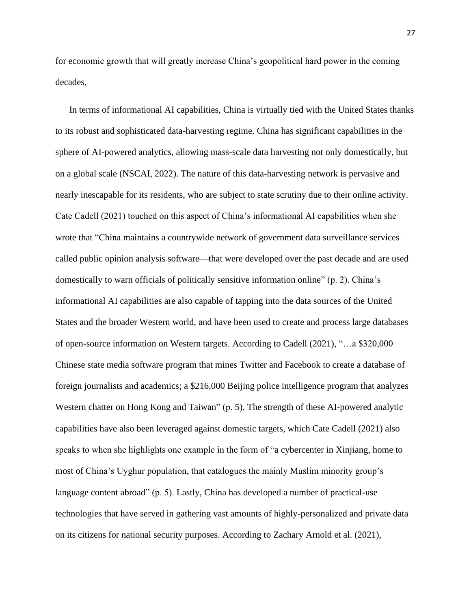for economic growth that will greatly increase China's geopolitical hard power in the coming decades,

In terms of informational AI capabilities, China is virtually tied with the United States thanks to its robust and sophisticated data-harvesting regime. China has significant capabilities in the sphere of AI-powered analytics, allowing mass-scale data harvesting not only domestically, but on a global scale (NSCAI, 2022). The nature of this data-harvesting network is pervasive and nearly inescapable for its residents, who are subject to state scrutiny due to their online activity. Cate Cadell (2021) touched on this aspect of China's informational AI capabilities when she wrote that "China maintains a countrywide network of government data surveillance services called public opinion analysis software—that were developed over the past decade and are used domestically to warn officials of politically sensitive information online" (p. 2). China's informational AI capabilities are also capable of tapping into the data sources of the United States and the broader Western world, and have been used to create and process large databases of open-source information on Western targets. According to Cadell (2021), "…a \$320,000 Chinese state media software program that mines Twitter and Facebook to create a database of foreign journalists and academics; a \$216,000 Beijing police intelligence program that analyzes Western chatter on Hong Kong and Taiwan" (p. 5). The strength of these AI-powered analytic capabilities have also been leveraged against domestic targets, which Cate Cadell (2021) also speaks to when she highlights one example in the form of "a cybercenter in Xinjiang, home to most of China's Uyghur population, that catalogues the mainly Muslim minority group's language content abroad" (p. 5). Lastly, China has developed a number of practical-use technologies that have served in gathering vast amounts of highly-personalized and private data on its citizens for national security purposes. According to Zachary Arnold et al. (2021),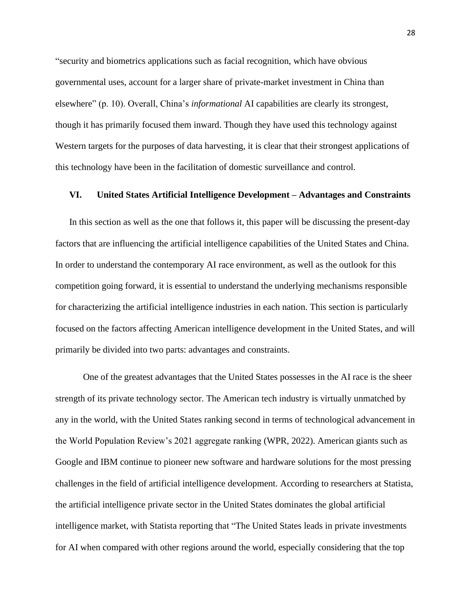"security and biometrics applications such as facial recognition, which have obvious governmental uses, account for a larger share of private-market investment in China than elsewhere" (p. 10). Overall, China's *informational* AI capabilities are clearly its strongest, though it has primarily focused them inward. Though they have used this technology against Western targets for the purposes of data harvesting, it is clear that their strongest applications of this technology have been in the facilitation of domestic surveillance and control.

#### **VI. United States Artificial Intelligence Development – Advantages and Constraints**

In this section as well as the one that follows it, this paper will be discussing the present-day factors that are influencing the artificial intelligence capabilities of the United States and China. In order to understand the contemporary AI race environment, as well as the outlook for this competition going forward, it is essential to understand the underlying mechanisms responsible for characterizing the artificial intelligence industries in each nation. This section is particularly focused on the factors affecting American intelligence development in the United States, and will primarily be divided into two parts: advantages and constraints.

One of the greatest advantages that the United States possesses in the AI race is the sheer strength of its private technology sector. The American tech industry is virtually unmatched by any in the world, with the United States ranking second in terms of technological advancement in the World Population Review's 2021 aggregate ranking (WPR, 2022). American giants such as Google and IBM continue to pioneer new software and hardware solutions for the most pressing challenges in the field of artificial intelligence development. According to researchers at Statista, the artificial intelligence private sector in the United States dominates the global artificial intelligence market, with Statista reporting that "The United States leads in private investments for AI when compared with other regions around the world, especially considering that the top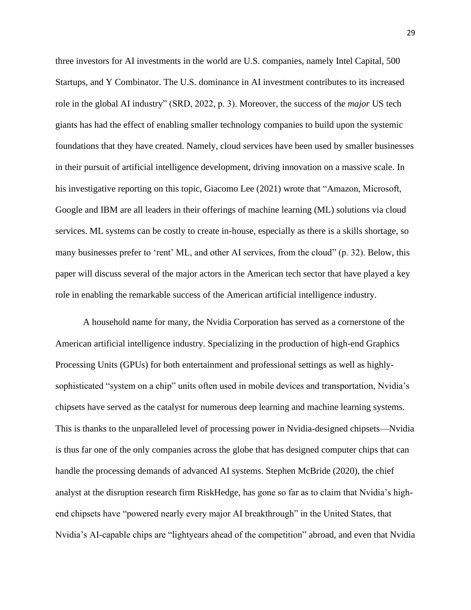three investors for AI investments in the world are U.S. companies, namely Intel Capital, 500 Startups, and Y Combinator. The U.S. dominance in AI investment contributes to its increased role in the global AI industry" (SRD, 2022, p. 3). Moreover, the success of the *major* US tech giants has had the effect of enabling smaller technology companies to build upon the systemic foundations that they have created. Namely, cloud services have been used by smaller businesses in their pursuit of artificial intelligence development, driving innovation on a massive scale. In his investigative reporting on this topic, Giacomo Lee (2021) wrote that "Amazon, Microsoft, Google and IBM are all leaders in their offerings of machine learning (ML) solutions via cloud services. ML systems can be costly to create in-house, especially as there is a skills shortage, so many businesses prefer to 'rent' ML, and other AI services, from the cloud" (p. 32). Below, this paper will discuss several of the major actors in the American tech sector that have played a key role in enabling the remarkable success of the American artificial intelligence industry.

A household name for many, the Nvidia Corporation has served as a cornerstone of the American artificial intelligence industry. Specializing in the production of high-end Graphics Processing Units (GPUs) for both entertainment and professional settings as well as highlysophisticated "system on a chip" units often used in mobile devices and transportation, Nvidia's chipsets have served as the catalyst for numerous deep learning and machine learning systems. This is thanks to the unparalleled level of processing power in Nvidia-designed chipsets—Nvidia is thus far one of the only companies across the globe that has designed computer chips that can handle the processing demands of advanced AI systems. Stephen McBride (2020), the chief analyst at the disruption research firm RiskHedge, has gone so far as to claim that Nvidia's highend chipsets have "powered nearly every major AI breakthrough" in the United States, that Nvidia's AI-capable chips are "lightyears ahead of the competition" abroad, and even that Nvidia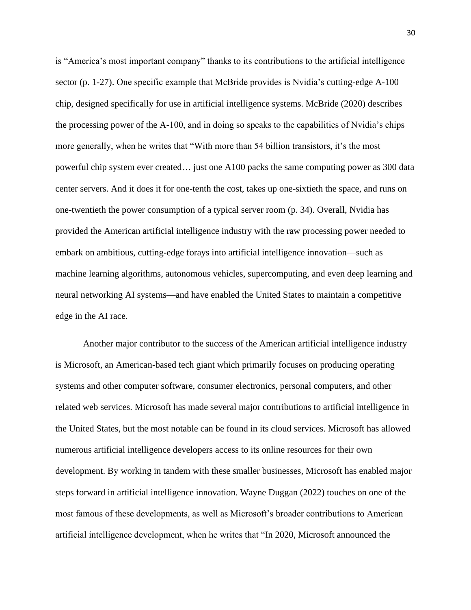is "America's most important company" thanks to its contributions to the artificial intelligence sector (p. 1-27). One specific example that McBride provides is Nvidia's cutting-edge A-100 chip, designed specifically for use in artificial intelligence systems. McBride (2020) describes the processing power of the A-100, and in doing so speaks to the capabilities of Nvidia's chips more generally, when he writes that "With more than 54 billion transistors, it's the most powerful chip system ever created… just one A100 packs the same computing power as 300 data center servers. And it does it for one-tenth the cost, takes up one-sixtieth the space, and runs on one-twentieth the power consumption of a typical server room (p. 34). Overall, Nvidia has provided the American artificial intelligence industry with the raw processing power needed to embark on ambitious, cutting-edge forays into artificial intelligence innovation—such as machine learning algorithms, autonomous vehicles, supercomputing, and even deep learning and neural networking AI systems—and have enabled the United States to maintain a competitive edge in the AI race.

Another major contributor to the success of the American artificial intelligence industry is Microsoft, an American-based tech giant which primarily focuses on producing operating systems and other computer software, consumer electronics, personal computers, and other related web services. Microsoft has made several major contributions to artificial intelligence in the United States, but the most notable can be found in its cloud services. Microsoft has allowed numerous artificial intelligence developers access to its online resources for their own development. By working in tandem with these smaller businesses, Microsoft has enabled major steps forward in artificial intelligence innovation. Wayne Duggan (2022) touches on one of the most famous of these developments, as well as Microsoft's broader contributions to American artificial intelligence development, when he writes that "In 2020, Microsoft announced the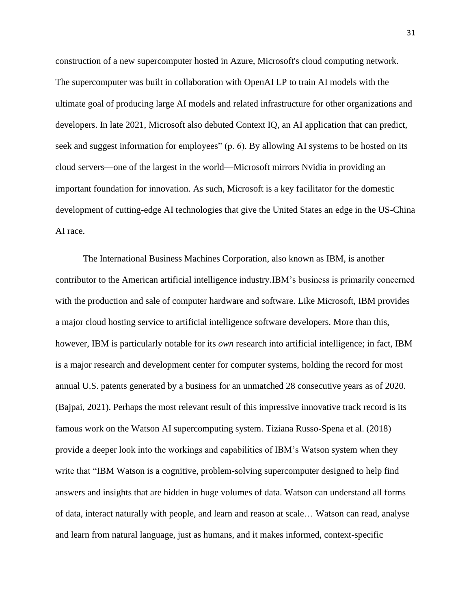construction of a new supercomputer hosted in Azure, Microsoft's cloud computing network. The supercomputer was built in collaboration with OpenAI LP to train AI models with the ultimate goal of producing large AI models and related infrastructure for other organizations and developers. In late 2021, Microsoft also debuted Context IQ, an AI application that can predict, seek and suggest information for employees" (p. 6). By allowing AI systems to be hosted on its cloud servers—one of the largest in the world—Microsoft mirrors Nvidia in providing an important foundation for innovation. As such, Microsoft is a key facilitator for the domestic development of cutting-edge AI technologies that give the United States an edge in the US-China AI race.

The International Business Machines Corporation, also known as IBM, is another contributor to the American artificial intelligence industry.IBM's business is primarily concerned with the production and sale of computer hardware and software. Like Microsoft, IBM provides a major cloud hosting service to artificial intelligence software developers. More than this, however, IBM is particularly notable for its *own* research into artificial intelligence; in fact, IBM is a major research and development center for computer systems, holding the record for most annual U.S. patents generated by a business for an unmatched 28 consecutive years as of 2020. (Bajpai, 2021). Perhaps the most relevant result of this impressive innovative track record is its famous work on the Watson AI supercomputing system. Tiziana Russo-Spena et al. (2018) provide a deeper look into the workings and capabilities of IBM's Watson system when they write that "IBM Watson is a cognitive, problem-solving supercomputer designed to help find answers and insights that are hidden in huge volumes of data. Watson can understand all forms of data, interact naturally with people, and learn and reason at scale… Watson can read, analyse and learn from natural language, just as humans, and it makes informed, context-specific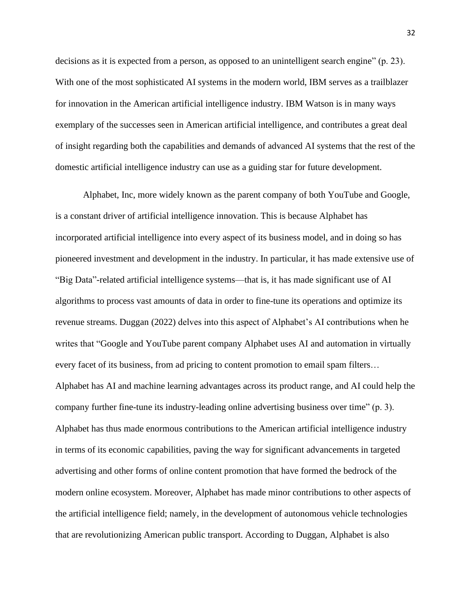decisions as it is expected from a person, as opposed to an unintelligent search engine" (p. 23). With one of the most sophisticated AI systems in the modern world, IBM serves as a trailblazer for innovation in the American artificial intelligence industry. IBM Watson is in many ways exemplary of the successes seen in American artificial intelligence, and contributes a great deal of insight regarding both the capabilities and demands of advanced AI systems that the rest of the domestic artificial intelligence industry can use as a guiding star for future development.

Alphabet, Inc, more widely known as the parent company of both YouTube and Google, is a constant driver of artificial intelligence innovation. This is because Alphabet has incorporated artificial intelligence into every aspect of its business model, and in doing so has pioneered investment and development in the industry. In particular, it has made extensive use of "Big Data"-related artificial intelligence systems—that is, it has made significant use of AI algorithms to process vast amounts of data in order to fine-tune its operations and optimize its revenue streams. Duggan (2022) delves into this aspect of Alphabet's AI contributions when he writes that "Google and YouTube parent company Alphabet uses AI and automation in virtually every facet of its business, from ad pricing to content promotion to email spam filters… Alphabet has AI and machine learning advantages across its product range, and AI could help the company further fine-tune its industry-leading online advertising business over time" (p. 3). Alphabet has thus made enormous contributions to the American artificial intelligence industry in terms of its economic capabilities, paving the way for significant advancements in targeted advertising and other forms of online content promotion that have formed the bedrock of the modern online ecosystem. Moreover, Alphabet has made minor contributions to other aspects of the artificial intelligence field; namely, in the development of autonomous vehicle technologies that are revolutionizing American public transport. According to Duggan, Alphabet is also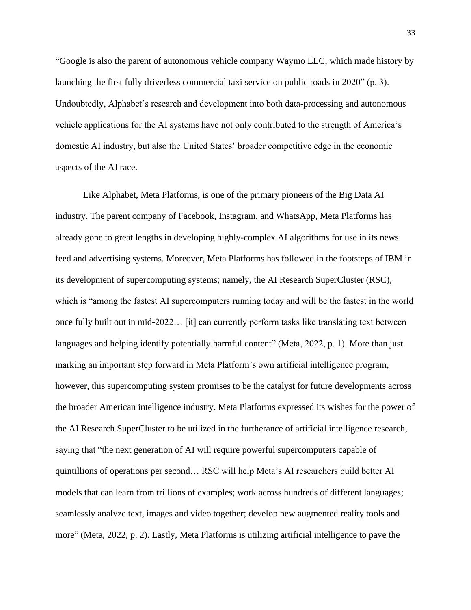"Google is also the parent of autonomous vehicle company Waymo LLC, which made history by launching the first fully driverless commercial taxi service on public roads in 2020" (p. 3). Undoubtedly, Alphabet's research and development into both data-processing and autonomous vehicle applications for the AI systems have not only contributed to the strength of America's domestic AI industry, but also the United States' broader competitive edge in the economic aspects of the AI race.

Like Alphabet, Meta Platforms, is one of the primary pioneers of the Big Data AI industry. The parent company of Facebook, Instagram, and WhatsApp, Meta Platforms has already gone to great lengths in developing highly-complex AI algorithms for use in its news feed and advertising systems. Moreover, Meta Platforms has followed in the footsteps of IBM in its development of supercomputing systems; namely, the AI Research SuperCluster (RSC), which is "among the fastest AI supercomputers running today and will be the fastest in the world once fully built out in mid-2022… [it] can currently perform tasks like translating text between languages and helping identify potentially harmful content" (Meta, 2022, p. 1). More than just marking an important step forward in Meta Platform's own artificial intelligence program, however, this supercomputing system promises to be the catalyst for future developments across the broader American intelligence industry. Meta Platforms expressed its wishes for the power of the AI Research SuperCluster to be utilized in the furtherance of artificial intelligence research, saying that "the next generation of AI will require powerful supercomputers capable of quintillions of operations per second… RSC will help Meta's AI researchers build better AI models that can learn from trillions of examples; work across hundreds of different languages; seamlessly analyze text, images and video together; develop new augmented reality tools and more" (Meta, 2022, p. 2). Lastly, Meta Platforms is utilizing artificial intelligence to pave the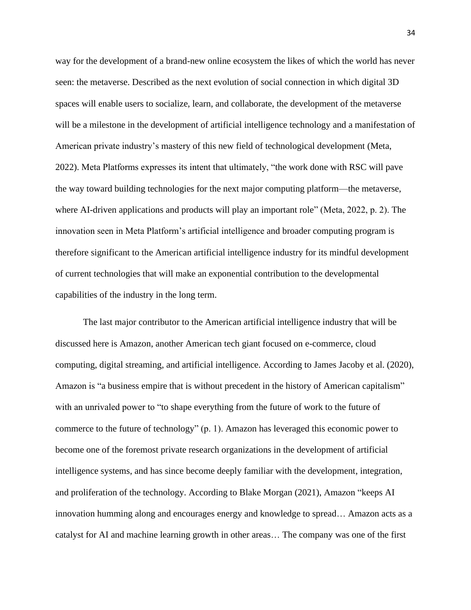way for the development of a brand-new online ecosystem the likes of which the world has never seen: the metaverse. Described as the next evolution of social connection in which digital 3D spaces will enable users to socialize, learn, and collaborate, the development of the metaverse will be a milestone in the development of artificial intelligence technology and a manifestation of American private industry's mastery of this new field of technological development (Meta, 2022). Meta Platforms expresses its intent that ultimately, "the work done with RSC will pave the way toward building technologies for the next major computing platform—the metaverse, where AI-driven applications and products will play an important role" (Meta, 2022, p. 2). The innovation seen in Meta Platform's artificial intelligence and broader computing program is therefore significant to the American artificial intelligence industry for its mindful development of current technologies that will make an exponential contribution to the developmental capabilities of the industry in the long term.

The last major contributor to the American artificial intelligence industry that will be discussed here is Amazon, another American tech giant focused on e-commerce, cloud computing, digital streaming, and artificial intelligence. According to James Jacoby et al. (2020), Amazon is "a business empire that is without precedent in the history of American capitalism" with an unrivaled power to "to shape everything from the future of work to the future of commerce to the future of technology" (p. 1). Amazon has leveraged this economic power to become one of the foremost private research organizations in the development of artificial intelligence systems, and has since become deeply familiar with the development, integration, and proliferation of the technology. According to Blake Morgan (2021), Amazon "keeps AI innovation humming along and encourages energy and knowledge to spread… Amazon acts as a catalyst for AI and machine learning growth in other areas… The company was one of the first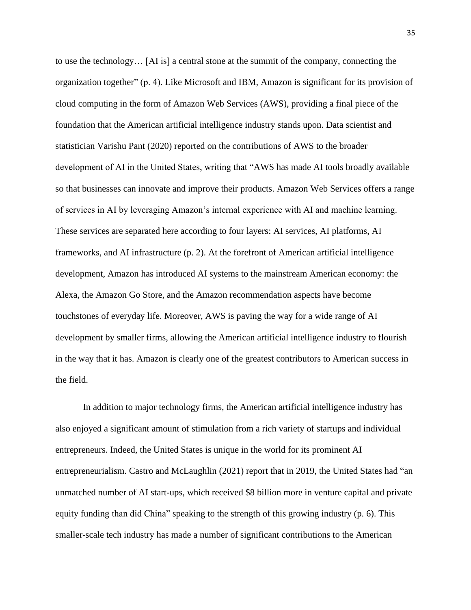to use the technology… [AI is] a central stone at the summit of the company, connecting the organization together" (p. 4). Like Microsoft and IBM, Amazon is significant for its provision of cloud computing in the form of Amazon Web Services (AWS), providing a final piece of the foundation that the American artificial intelligence industry stands upon. Data scientist and statistician Varishu Pant (2020) reported on the contributions of AWS to the broader development of AI in the United States, writing that "AWS has made AI tools broadly available so that businesses can innovate and improve their products. Amazon Web Services offers a range of services in AI by leveraging Amazon's internal experience with AI and machine learning. These services are separated here according to four layers: AI services, AI platforms, AI frameworks, and AI infrastructure (p. 2). At the forefront of American artificial intelligence development, Amazon has introduced AI systems to the mainstream American economy: the Alexa, the Amazon Go Store, and the Amazon recommendation aspects have become touchstones of everyday life. Moreover, AWS is paving the way for a wide range of AI development by smaller firms, allowing the American artificial intelligence industry to flourish in the way that it has. Amazon is clearly one of the greatest contributors to American success in the field.

In addition to major technology firms, the American artificial intelligence industry has also enjoyed a significant amount of stimulation from a rich variety of startups and individual entrepreneurs. Indeed, the United States is unique in the world for its prominent AI entrepreneurialism. Castro and McLaughlin (2021) report that in 2019, the United States had "an unmatched number of AI start-ups, which received \$8 billion more in venture capital and private equity funding than did China" speaking to the strength of this growing industry (p. 6). This smaller-scale tech industry has made a number of significant contributions to the American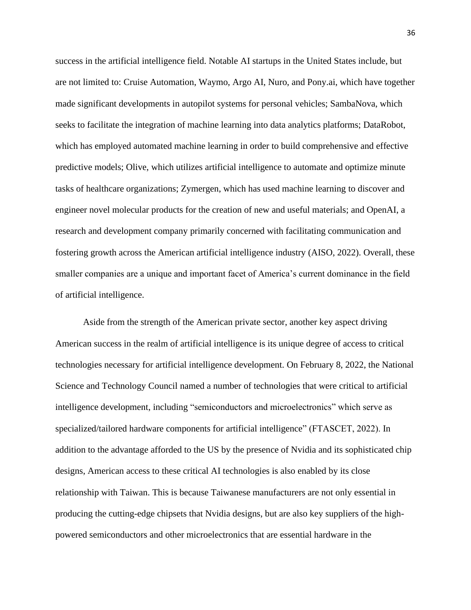success in the artificial intelligence field. Notable AI startups in the United States include, but are not limited to: Cruise Automation, Waymo, Argo AI, Nuro, and Pony.ai, which have together made significant developments in autopilot systems for personal vehicles; SambaNova, which seeks to facilitate the integration of machine learning into data analytics platforms; DataRobot, which has employed automated machine learning in order to build comprehensive and effective predictive models; Olive, which utilizes artificial intelligence to automate and optimize minute tasks of healthcare organizations; Zymergen, which has used machine learning to discover and engineer novel molecular products for the creation of new and useful materials; and OpenAI, a research and development company primarily concerned with facilitating communication and fostering growth across the American artificial intelligence industry (AISO, 2022). Overall, these smaller companies are a unique and important facet of America's current dominance in the field of artificial intelligence.

Aside from the strength of the American private sector, another key aspect driving American success in the realm of artificial intelligence is its unique degree of access to critical technologies necessary for artificial intelligence development. On February 8, 2022, the National Science and Technology Council named a number of technologies that were critical to artificial intelligence development, including "semiconductors and microelectronics" which serve as specialized/tailored hardware components for artificial intelligence" (FTASCET, 2022). In addition to the advantage afforded to the US by the presence of Nvidia and its sophisticated chip designs, American access to these critical AI technologies is also enabled by its close relationship with Taiwan. This is because Taiwanese manufacturers are not only essential in producing the cutting-edge chipsets that Nvidia designs, but are also key suppliers of the highpowered semiconductors and other microelectronics that are essential hardware in the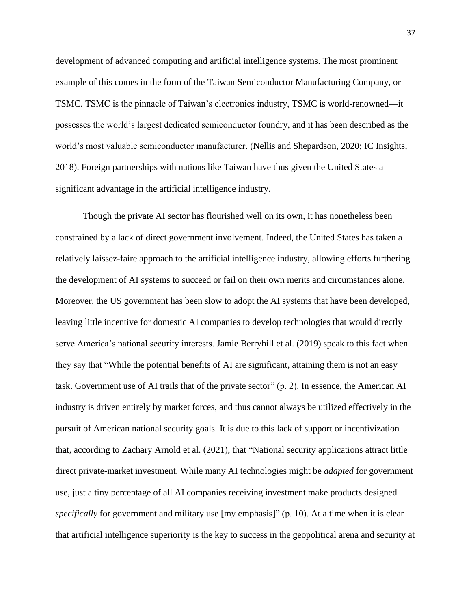development of advanced computing and artificial intelligence systems. The most prominent example of this comes in the form of the Taiwan Semiconductor Manufacturing Company, or TSMC. TSMC is the pinnacle of Taiwan's electronics industry, TSMC is world-renowned—it possesses the world's largest dedicated semiconductor foundry, and it has been described as the world's most valuable semiconductor manufacturer. (Nellis and Shepardson, 2020; IC Insights, 2018). Foreign partnerships with nations like Taiwan have thus given the United States a significant advantage in the artificial intelligence industry.

Though the private AI sector has flourished well on its own, it has nonetheless been constrained by a lack of direct government involvement. Indeed, the United States has taken a relatively laissez-faire approach to the artificial intelligence industry, allowing efforts furthering the development of AI systems to succeed or fail on their own merits and circumstances alone. Moreover, the US government has been slow to adopt the AI systems that have been developed, leaving little incentive for domestic AI companies to develop technologies that would directly serve America's national security interests. Jamie Berryhill et al. (2019) speak to this fact when they say that "While the potential benefits of AI are significant, attaining them is not an easy task. Government use of AI trails that of the private sector" (p. 2). In essence, the American AI industry is driven entirely by market forces, and thus cannot always be utilized effectively in the pursuit of American national security goals. It is due to this lack of support or incentivization that, according to Zachary Arnold et al. (2021), that "National security applications attract little direct private-market investment. While many AI technologies might be *adapted* for government use, just a tiny percentage of all AI companies receiving investment make products designed *specifically* for government and military use [my emphasis]" (p. 10). At a time when it is clear that artificial intelligence superiority is the key to success in the geopolitical arena and security at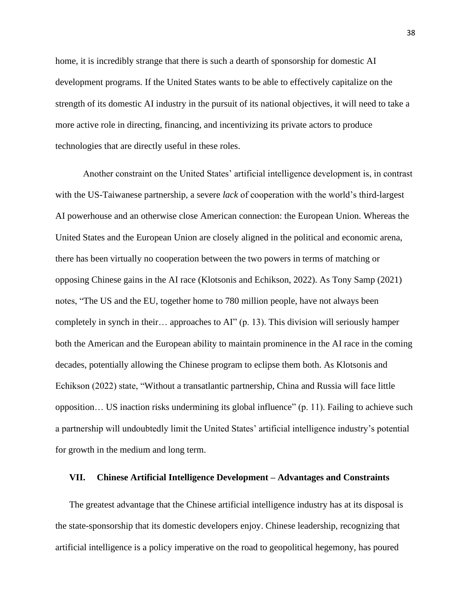home, it is incredibly strange that there is such a dearth of sponsorship for domestic AI development programs. If the United States wants to be able to effectively capitalize on the strength of its domestic AI industry in the pursuit of its national objectives, it will need to take a more active role in directing, financing, and incentivizing its private actors to produce technologies that are directly useful in these roles.

Another constraint on the United States' artificial intelligence development is, in contrast with the US-Taiwanese partnership, a severe *lack* of cooperation with the world's third-largest AI powerhouse and an otherwise close American connection: the European Union. Whereas the United States and the European Union are closely aligned in the political and economic arena, there has been virtually no cooperation between the two powers in terms of matching or opposing Chinese gains in the AI race (Klotsonis and Echikson, 2022). As Tony Samp (2021) notes, "The US and the EU, together home to 780 million people, have not always been completely in synch in their… approaches to AI" (p. 13). This division will seriously hamper both the American and the European ability to maintain prominence in the AI race in the coming decades, potentially allowing the Chinese program to eclipse them both. As Klotsonis and Echikson (2022) state, "Without a transatlantic partnership, China and Russia will face little opposition… US inaction risks undermining its global influence" (p. 11). Failing to achieve such a partnership will undoubtedly limit the United States' artificial intelligence industry's potential for growth in the medium and long term.

#### **VII. Chinese Artificial Intelligence Development – Advantages and Constraints**

The greatest advantage that the Chinese artificial intelligence industry has at its disposal is the state-sponsorship that its domestic developers enjoy. Chinese leadership, recognizing that artificial intelligence is a policy imperative on the road to geopolitical hegemony, has poured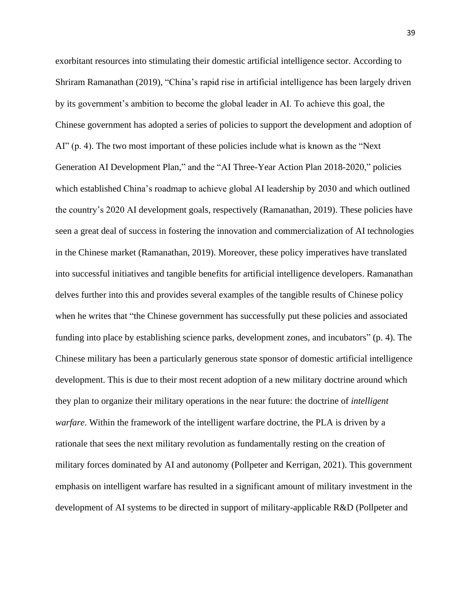exorbitant resources into stimulating their domestic artificial intelligence sector. According to Shriram Ramanathan (2019), "China's rapid rise in artificial intelligence has been largely driven by its government's ambition to become the global leader in AI. To achieve this goal, the Chinese government has adopted a series of policies to support the development and adoption of AI" (p. 4). The two most important of these policies include what is known as the "Next Generation AI Development Plan," and the "AI Three-Year Action Plan 2018-2020," policies which established China's roadmap to achieve global AI leadership by 2030 and which outlined the country's 2020 AI development goals, respectively (Ramanathan, 2019). These policies have seen a great deal of success in fostering the innovation and commercialization of AI technologies in the Chinese market (Ramanathan, 2019). Moreover, these policy imperatives have translated into successful initiatives and tangible benefits for artificial intelligence developers. Ramanathan delves further into this and provides several examples of the tangible results of Chinese policy when he writes that "the Chinese government has successfully put these policies and associated funding into place by establishing science parks, development zones, and incubators" (p. 4). The Chinese military has been a particularly generous state sponsor of domestic artificial intelligence development. This is due to their most recent adoption of a new military doctrine around which they plan to organize their military operations in the near future: the doctrine of *intelligent warfare*. Within the framework of the intelligent warfare doctrine, the PLA is driven by a rationale that sees the next military revolution as fundamentally resting on the creation of military forces dominated by AI and autonomy (Pollpeter and Kerrigan, 2021). This government emphasis on intelligent warfare has resulted in a significant amount of military investment in the development of AI systems to be directed in support of military-applicable R&D (Pollpeter and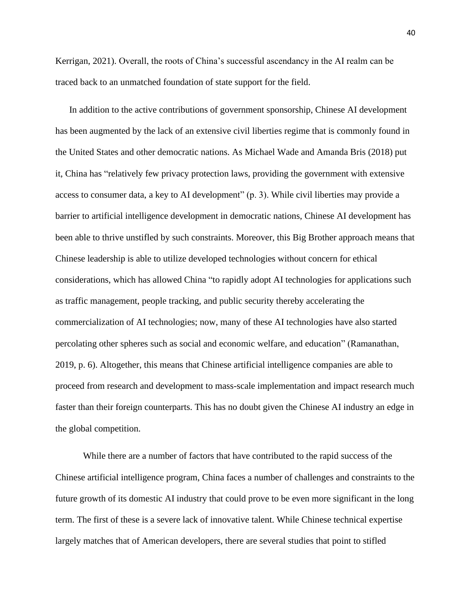Kerrigan, 2021). Overall, the roots of China's successful ascendancy in the AI realm can be traced back to an unmatched foundation of state support for the field.

In addition to the active contributions of government sponsorship, Chinese AI development has been augmented by the lack of an extensive civil liberties regime that is commonly found in the United States and other democratic nations. As Michael Wade and Amanda Bris (2018) put it, China has "relatively few privacy protection laws, providing the government with extensive access to consumer data, a key to AI development" (p. 3). While civil liberties may provide a barrier to artificial intelligence development in democratic nations, Chinese AI development has been able to thrive unstifled by such constraints. Moreover, this Big Brother approach means that Chinese leadership is able to utilize developed technologies without concern for ethical considerations, which has allowed China "to rapidly adopt AI technologies for applications such as traffic management, people tracking, and public security thereby accelerating the commercialization of AI technologies; now, many of these AI technologies have also started percolating other spheres such as social and economic welfare, and education" (Ramanathan, 2019, p. 6). Altogether, this means that Chinese artificial intelligence companies are able to proceed from research and development to mass-scale implementation and impact research much faster than their foreign counterparts. This has no doubt given the Chinese AI industry an edge in the global competition.

While there are a number of factors that have contributed to the rapid success of the Chinese artificial intelligence program, China faces a number of challenges and constraints to the future growth of its domestic AI industry that could prove to be even more significant in the long term. The first of these is a severe lack of innovative talent. While Chinese technical expertise largely matches that of American developers, there are several studies that point to stifled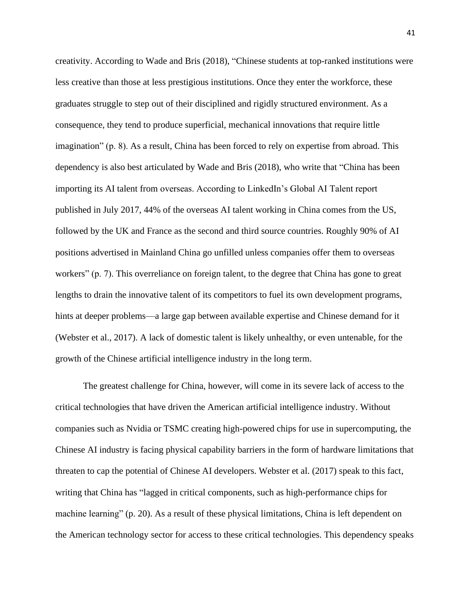creativity. According to Wade and Bris (2018), "Chinese students at top-ranked institutions were less creative than those at less prestigious institutions. Once they enter the workforce, these graduates struggle to step out of their disciplined and rigidly structured environment. As a consequence, they tend to produce superficial, mechanical innovations that require little imagination" (p. 8). As a result, China has been forced to rely on expertise from abroad. This dependency is also best articulated by Wade and Bris (2018), who write that "China has been importing its AI talent from overseas. According to LinkedIn's Global AI Talent report published in July 2017, 44% of the overseas AI talent working in China comes from the US, followed by the UK and France as the second and third source countries. Roughly 90% of AI positions advertised in Mainland China go unfilled unless companies offer them to overseas workers" (p. 7). This overreliance on foreign talent, to the degree that China has gone to great lengths to drain the innovative talent of its competitors to fuel its own development programs, hints at deeper problems—a large gap between available expertise and Chinese demand for it (Webster et al., 2017). A lack of domestic talent is likely unhealthy, or even untenable, for the growth of the Chinese artificial intelligence industry in the long term.

The greatest challenge for China, however, will come in its severe lack of access to the critical technologies that have driven the American artificial intelligence industry. Without companies such as Nvidia or TSMC creating high-powered chips for use in supercomputing, the Chinese AI industry is facing physical capability barriers in the form of hardware limitations that threaten to cap the potential of Chinese AI developers. Webster et al. (2017) speak to this fact, writing that China has "lagged in critical components, such as high-performance chips for machine learning" (p. 20). As a result of these physical limitations, China is left dependent on the American technology sector for access to these critical technologies. This dependency speaks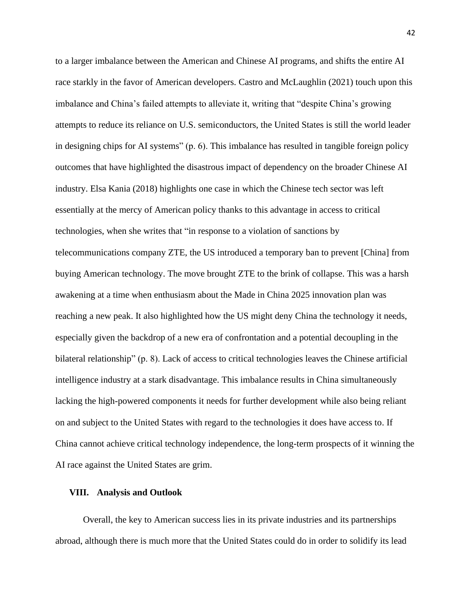to a larger imbalance between the American and Chinese AI programs, and shifts the entire AI race starkly in the favor of American developers. Castro and McLaughlin (2021) touch upon this imbalance and China's failed attempts to alleviate it, writing that "despite China's growing attempts to reduce its reliance on U.S. semiconductors, the United States is still the world leader in designing chips for AI systems" (p. 6). This imbalance has resulted in tangible foreign policy outcomes that have highlighted the disastrous impact of dependency on the broader Chinese AI industry. Elsa Kania (2018) highlights one case in which the Chinese tech sector was left essentially at the mercy of American policy thanks to this advantage in access to critical technologies, when she writes that "in response to a violation of sanctions by telecommunications company ZTE, the US introduced a temporary ban to prevent [China] from buying American technology. The move brought ZTE to the brink of collapse. This was a harsh awakening at a time when enthusiasm about the Made in China 2025 innovation plan was reaching a new peak. It also highlighted how the US might deny China the technology it needs, especially given the backdrop of a new era of confrontation and a potential decoupling in the bilateral relationship" (p. 8). Lack of access to critical technologies leaves the Chinese artificial intelligence industry at a stark disadvantage. This imbalance results in China simultaneously lacking the high-powered components it needs for further development while also being reliant on and subject to the United States with regard to the technologies it does have access to. If China cannot achieve critical technology independence, the long-term prospects of it winning the AI race against the United States are grim.

#### **VIII. Analysis and Outlook**

Overall, the key to American success lies in its private industries and its partnerships abroad, although there is much more that the United States could do in order to solidify its lead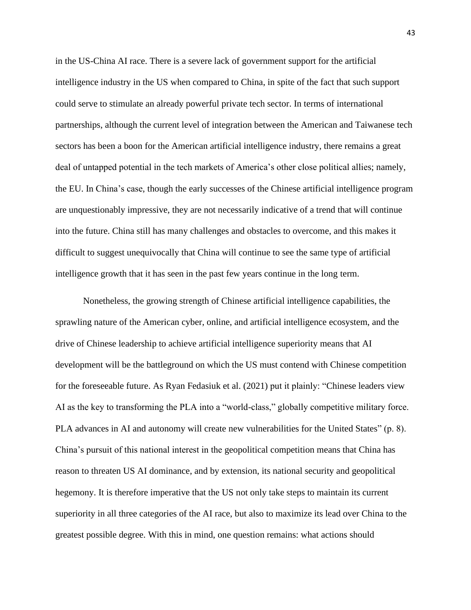in the US-China AI race. There is a severe lack of government support for the artificial intelligence industry in the US when compared to China, in spite of the fact that such support could serve to stimulate an already powerful private tech sector. In terms of international partnerships, although the current level of integration between the American and Taiwanese tech sectors has been a boon for the American artificial intelligence industry, there remains a great deal of untapped potential in the tech markets of America's other close political allies; namely, the EU. In China's case, though the early successes of the Chinese artificial intelligence program are unquestionably impressive, they are not necessarily indicative of a trend that will continue into the future. China still has many challenges and obstacles to overcome, and this makes it difficult to suggest unequivocally that China will continue to see the same type of artificial intelligence growth that it has seen in the past few years continue in the long term.

Nonetheless, the growing strength of Chinese artificial intelligence capabilities, the sprawling nature of the American cyber, online, and artificial intelligence ecosystem, and the drive of Chinese leadership to achieve artificial intelligence superiority means that AI development will be the battleground on which the US must contend with Chinese competition for the foreseeable future. As Ryan Fedasiuk et al. (2021) put it plainly: "Chinese leaders view AI as the key to transforming the PLA into a "world-class," globally competitive military force. PLA advances in AI and autonomy will create new vulnerabilities for the United States" (p. 8). China's pursuit of this national interest in the geopolitical competition means that China has reason to threaten US AI dominance, and by extension, its national security and geopolitical hegemony. It is therefore imperative that the US not only take steps to maintain its current superiority in all three categories of the AI race, but also to maximize its lead over China to the greatest possible degree. With this in mind, one question remains: what actions should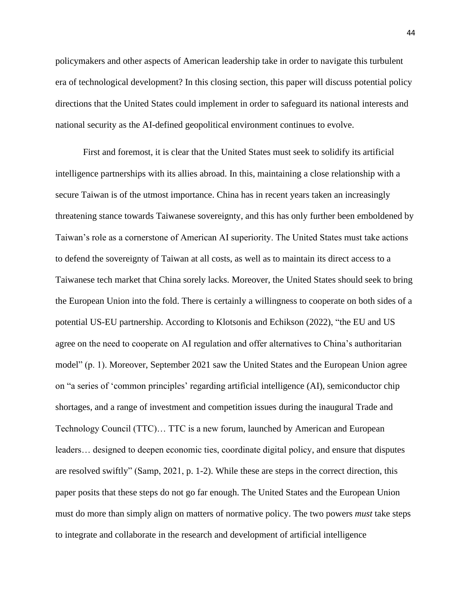policymakers and other aspects of American leadership take in order to navigate this turbulent era of technological development? In this closing section, this paper will discuss potential policy directions that the United States could implement in order to safeguard its national interests and national security as the AI-defined geopolitical environment continues to evolve.

First and foremost, it is clear that the United States must seek to solidify its artificial intelligence partnerships with its allies abroad. In this, maintaining a close relationship with a secure Taiwan is of the utmost importance. China has in recent years taken an increasingly threatening stance towards Taiwanese sovereignty, and this has only further been emboldened by Taiwan's role as a cornerstone of American AI superiority. The United States must take actions to defend the sovereignty of Taiwan at all costs, as well as to maintain its direct access to a Taiwanese tech market that China sorely lacks. Moreover, the United States should seek to bring the European Union into the fold. There is certainly a willingness to cooperate on both sides of a potential US-EU partnership. According to Klotsonis and Echikson (2022), "the EU and US agree on the need to cooperate on AI regulation and offer alternatives to China's authoritarian model" (p. 1). Moreover, September 2021 saw the United States and the European Union agree on "a series of 'common principles' regarding artificial intelligence (AI), semiconductor chip shortages, and a range of investment and competition issues during the inaugural Trade and Technology Council (TTC)… TTC is a new forum, launched by American and European leaders… designed to deepen economic ties, coordinate digital policy, and ensure that disputes are resolved swiftly" (Samp, 2021, p. 1-2). While these are steps in the correct direction, this paper posits that these steps do not go far enough. The United States and the European Union must do more than simply align on matters of normative policy. The two powers *must* take steps to integrate and collaborate in the research and development of artificial intelligence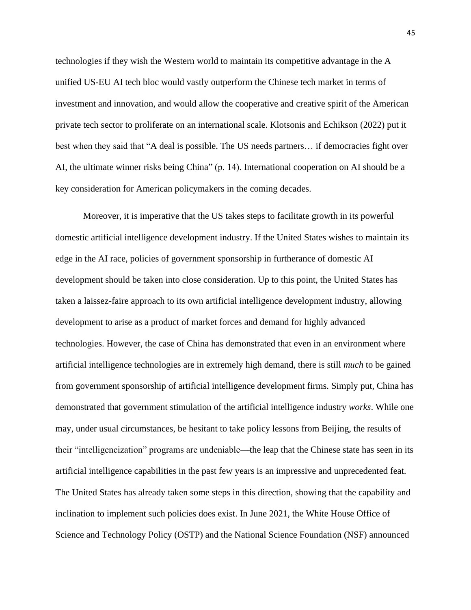technologies if they wish the Western world to maintain its competitive advantage in the A unified US-EU AI tech bloc would vastly outperform the Chinese tech market in terms of investment and innovation, and would allow the cooperative and creative spirit of the American private tech sector to proliferate on an international scale. Klotsonis and Echikson (2022) put it best when they said that "A deal is possible. The US needs partners… if democracies fight over AI, the ultimate winner risks being China" (p. 14). International cooperation on AI should be a key consideration for American policymakers in the coming decades.

Moreover, it is imperative that the US takes steps to facilitate growth in its powerful domestic artificial intelligence development industry. If the United States wishes to maintain its edge in the AI race, policies of government sponsorship in furtherance of domestic AI development should be taken into close consideration. Up to this point, the United States has taken a laissez-faire approach to its own artificial intelligence development industry, allowing development to arise as a product of market forces and demand for highly advanced technologies. However, the case of China has demonstrated that even in an environment where artificial intelligence technologies are in extremely high demand, there is still *much* to be gained from government sponsorship of artificial intelligence development firms. Simply put, China has demonstrated that government stimulation of the artificial intelligence industry *works*. While one may, under usual circumstances, be hesitant to take policy lessons from Beijing, the results of their "intelligencization" programs are undeniable—the leap that the Chinese state has seen in its artificial intelligence capabilities in the past few years is an impressive and unprecedented feat. The United States has already taken some steps in this direction, showing that the capability and inclination to implement such policies does exist. In June 2021, the White House Office of Science and Technology Policy (OSTP) and the National Science Foundation (NSF) announced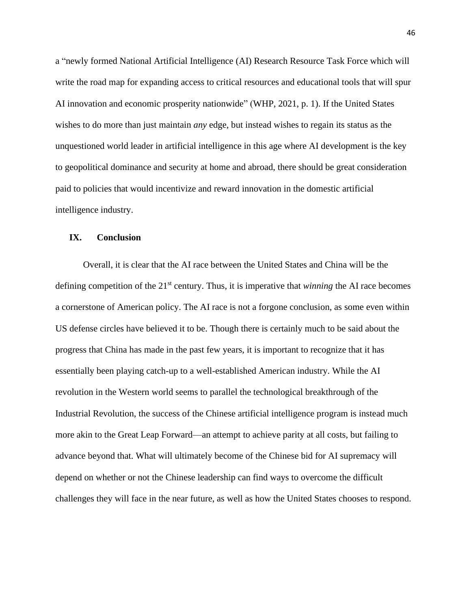a "newly formed National Artificial Intelligence (AI) Research Resource Task Force which will write the road map for expanding access to critical resources and educational tools that will spur AI innovation and economic prosperity nationwide" (WHP, 2021, p. 1). If the United States wishes to do more than just maintain *any* edge, but instead wishes to regain its status as the unquestioned world leader in artificial intelligence in this age where AI development is the key to geopolitical dominance and security at home and abroad, there should be great consideration paid to policies that would incentivize and reward innovation in the domestic artificial intelligence industry.

## **IX. Conclusion**

Overall, it is clear that the AI race between the United States and China will be the defining competition of the 21st century. Thus, it is imperative that *winning* the AI race becomes a cornerstone of American policy. The AI race is not a forgone conclusion, as some even within US defense circles have believed it to be. Though there is certainly much to be said about the progress that China has made in the past few years, it is important to recognize that it has essentially been playing catch-up to a well-established American industry. While the AI revolution in the Western world seems to parallel the technological breakthrough of the Industrial Revolution, the success of the Chinese artificial intelligence program is instead much more akin to the Great Leap Forward—an attempt to achieve parity at all costs, but failing to advance beyond that. What will ultimately become of the Chinese bid for AI supremacy will depend on whether or not the Chinese leadership can find ways to overcome the difficult challenges they will face in the near future, as well as how the United States chooses to respond.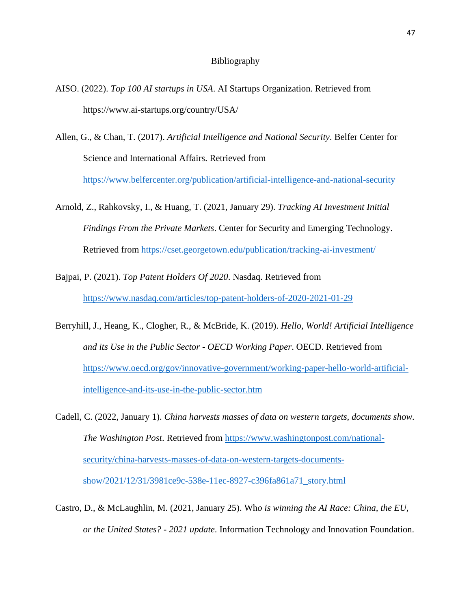#### Bibliography

- AISO. (2022). *Top 100 AI startups in USA*. AI Startups Organization. Retrieved from https://www.ai-startups.org/country/USA/
- Allen, G., & Chan, T. (2017). *Artificial Intelligence and National Security*. Belfer Center for Science and International Affairs. Retrieved from <https://www.belfercenter.org/publication/artificial-intelligence-and-national-security>
- Arnold, Z., Rahkovsky, I., & Huang, T. (2021, January 29). *Tracking AI Investment Initial Findings From the Private Markets*. Center for Security and Emerging Technology. Retrieved from<https://cset.georgetown.edu/publication/tracking-ai-investment/>
- Bajpai, P. (2021). *Top Patent Holders Of 2020*. Nasdaq. Retrieved from <https://www.nasdaq.com/articles/top-patent-holders-of-2020-2021-01-29>
- Berryhill, J., Heang, K., Clogher, R., & McBride, K. (2019). *Hello, World! Artificial Intelligence and its Use in the Public Sector - OECD Working Paper*. OECD. Retrieved from [https://www.oecd.org/gov/innovative-government/working-paper-hello-world-artificial](https://www.oecd.org/gov/innovative-government/working-paper-hello-world-artificial-intelligence-and-its-use-in-the-public-sector.htm)[intelligence-and-its-use-in-the-public-sector.htm](https://www.oecd.org/gov/innovative-government/working-paper-hello-world-artificial-intelligence-and-its-use-in-the-public-sector.htm)
- Cadell, C. (2022, January 1). *China harvests masses of data on western targets, documents show. The Washington Post*. Retrieved from [https://www.washingtonpost.com/national](https://www.washingtonpost.com/national-security/china-harvests-masses-of-data-on-western-targets-documents-show/2021/12/31/3981ce9c-538e-11ec-8927-c396fa861a71_story.html)[security/china-harvests-masses-of-data-on-western-targets-documents](https://www.washingtonpost.com/national-security/china-harvests-masses-of-data-on-western-targets-documents-show/2021/12/31/3981ce9c-538e-11ec-8927-c396fa861a71_story.html)[show/2021/12/31/3981ce9c-538e-11ec-8927-c396fa861a71\\_story.html](https://www.washingtonpost.com/national-security/china-harvests-masses-of-data-on-western-targets-documents-show/2021/12/31/3981ce9c-538e-11ec-8927-c396fa861a71_story.html)
- Castro, D., & McLaughlin, M. (2021, January 25). Wh*o is winning the AI Race: China, the EU, or the United States? - 2021 update*. Information Technology and Innovation Foundation.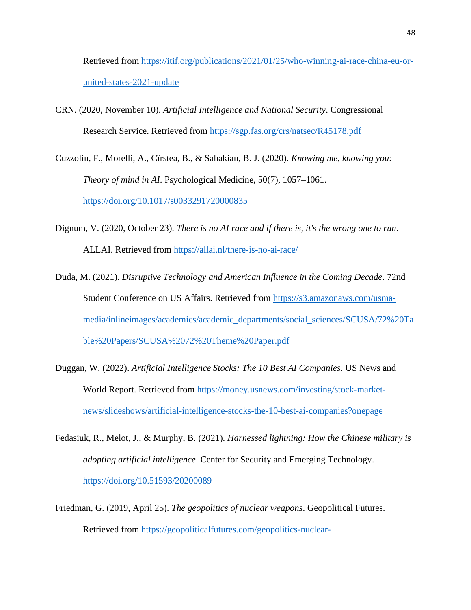Retrieved from [https://itif.org/publications/2021/01/25/who-winning-ai-race-china-eu-or](https://itif.org/publications/2021/01/25/who-winning-ai-race-china-eu-or-united-states-2021-update)[united-states-2021-update](https://itif.org/publications/2021/01/25/who-winning-ai-race-china-eu-or-united-states-2021-update)

CRN. (2020, November 10). *Artificial Intelligence and National Security*. Congressional Research Service. Retrieved from<https://sgp.fas.org/crs/natsec/R45178.pdf>

Cuzzolin, F., Morelli, A., Cîrstea, B., & Sahakian, B. J. (2020). *Knowing me, knowing you: Theory of mind in AI*. Psychological Medicine, 50(7), 1057–1061. <https://doi.org/10.1017/s0033291720000835>

- Dignum, V. (2020, October 23). *There is no AI race and if there is, it's the wrong one to run*. ALLAI. Retrieved from<https://allai.nl/there-is-no-ai-race/>
- Duda, M. (2021). *Disruptive Technology and American Influence in the Coming Decade*. 72nd Student Conference on US Affairs. Retrieved from [https://s3.amazonaws.com/usma](https://s3.amazonaws.com/usma-media/inlineimages/academics/academic_departments/social_sciences/SCUSA/72%20Table%20Papers/SCUSA%2072%20Theme%20Paper.pdf)[media/inlineimages/academics/academic\\_departments/social\\_sciences/SCUSA/72%20Ta](https://s3.amazonaws.com/usma-media/inlineimages/academics/academic_departments/social_sciences/SCUSA/72%20Table%20Papers/SCUSA%2072%20Theme%20Paper.pdf) [ble%20Papers/SCUSA%2072%20Theme%20Paper.pdf](https://s3.amazonaws.com/usma-media/inlineimages/academics/academic_departments/social_sciences/SCUSA/72%20Table%20Papers/SCUSA%2072%20Theme%20Paper.pdf)
- Duggan, W. (2022). *Artificial Intelligence Stocks: The 10 Best AI Companies*. US News and World Report. Retrieved from [https://money.usnews.com/investing/stock-market](https://money.usnews.com/investing/stock-market-news/slideshows/artificial-intelligence-stocks-the-10-best-ai-companies?onepage)[news/slideshows/artificial-intelligence-stocks-the-10-best-ai-companies?onepage](https://money.usnews.com/investing/stock-market-news/slideshows/artificial-intelligence-stocks-the-10-best-ai-companies?onepage)
- Fedasiuk, R., Melot, J., & Murphy, B. (2021). *Harnessed lightning: How the Chinese military is adopting artificial intelligence*. Center for Security and Emerging Technology. <https://doi.org/10.51593/20200089>
- Friedman, G. (2019, April 25). *The geopolitics of nuclear weapons*. Geopolitical Futures. Retrieved from [https://geopoliticalfutures.com/geopolitics-nuclear-](https://geopoliticalfutures.com/geopolitics-nuclear-weapons/#:~:text=Nuclear%20weapons%20fundamentally%20alter%20the,to%20avoiding%20a%20nuclear%20retaliation)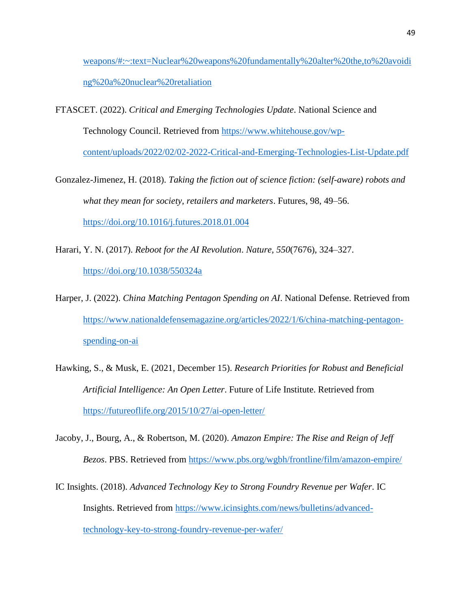[weapons/#:~:text=Nuclear%20weapons%20fundamentally%20alter%20the,to%20avoidi](https://geopoliticalfutures.com/geopolitics-nuclear-weapons/#:~:text=Nuclear%20weapons%20fundamentally%20alter%20the,to%20avoiding%20a%20nuclear%20retaliation) [ng%20a%20nuclear%20retaliation](https://geopoliticalfutures.com/geopolitics-nuclear-weapons/#:~:text=Nuclear%20weapons%20fundamentally%20alter%20the,to%20avoiding%20a%20nuclear%20retaliation)

- FTASCET. (2022). *Critical and Emerging Technologies Update*. National Science and Technology Council. Retrieved from [https://www.whitehouse.gov/wp](https://www.whitehouse.gov/wp-content/uploads/2022/02/02-2022-Critical-and-Emerging-Technologies-List-Update.pdf)[content/uploads/2022/02/02-2022-Critical-and-Emerging-Technologies-List-Update.pdf](https://www.whitehouse.gov/wp-content/uploads/2022/02/02-2022-Critical-and-Emerging-Technologies-List-Update.pdf)
- Gonzalez-Jimenez, H. (2018). *Taking the fiction out of science fiction: (self-aware) robots and what they mean for society, retailers and marketers*. Futures, 98, 49–56. <https://doi.org/10.1016/j.futures.2018.01.004>
- Harari, Y. N. (2017). *Reboot for the AI Revolution*. *Nature, 550*(7676), 324–327. <https://doi.org/10.1038/550324a>
- Harper, J. (2022). *China Matching Pentagon Spending on AI*. National Defense. Retrieved from [https://www.nationaldefensemagazine.org/articles/2022/1/6/china-matching-pentagon](https://www.nationaldefensemagazine.org/articles/2022/1/6/china-matching-pentagon-spending-on-ai)[spending-on-ai](https://www.nationaldefensemagazine.org/articles/2022/1/6/china-matching-pentagon-spending-on-ai)
- Hawking, S., & Musk, E. (2021, December 15). *Research Priorities for Robust and Beneficial Artificial Intelligence: An Open Letter*. Future of Life Institute. Retrieved from <https://futureoflife.org/2015/10/27/ai-open-letter/>
- Jacoby, J., Bourg, A., & Robertson, M. (2020). *Amazon Empire: The Rise and Reign of Jeff Bezos*. PBS. Retrieved from<https://www.pbs.org/wgbh/frontline/film/amazon-empire/>
- IC Insights. (2018). *Advanced Technology Key to Strong Foundry Revenue per Wafer*. IC Insights. Retrieved from [https://www.icinsights.com/news/bulletins/advanced](https://www.icinsights.com/news/bulletins/advanced-technology-key-to-strong-foundry-revenue-per-wafer/)[technology-key-to-strong-foundry-revenue-per-wafer/](https://www.icinsights.com/news/bulletins/advanced-technology-key-to-strong-foundry-revenue-per-wafer/)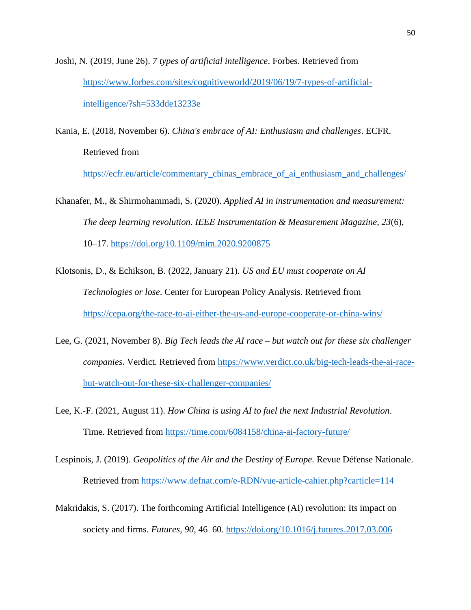- Joshi, N. (2019, June 26). *7 types of artificial intelligence*. Forbes. Retrieved from [https://www.forbes.com/sites/cognitiveworld/2019/06/19/7-types-of-artificial](https://www.forbes.com/sites/cognitiveworld/2019/06/19/7-types-of-artificial-intelligence/?sh=533dde13233e)[intelligence/?sh=533dde13233e](https://www.forbes.com/sites/cognitiveworld/2019/06/19/7-types-of-artificial-intelligence/?sh=533dde13233e)
- Kania, E. (2018, November 6). *China's embrace of AI: Enthusiasm and challenges*. ECFR. Retrieved from

[https://ecfr.eu/article/commentary\\_chinas\\_embrace\\_of\\_ai\\_enthusiasm\\_and\\_challenges/](https://ecfr.eu/article/commentary_chinas_embrace_of_ai_enthusiasm_and_challenges/)

- Khanafer, M., & Shirmohammadi, S. (2020). *Applied AI in instrumentation and measurement: The deep learning revolution*. *IEEE Instrumentation & Measurement Magazine, 23*(6), 10–17.<https://doi.org/10.1109/mim.2020.9200875>
- Klotsonis, D., & Echikson, B. (2022, January 21). *US and EU must cooperate on AI Technologies or lose*. Center for European Policy Analysis. Retrieved from <https://cepa.org/the-race-to-ai-either-the-us-and-europe-cooperate-or-china-wins/>
- Lee, G. (2021, November 8). *Big Tech leads the AI race – but watch out for these six challenger companies*. Verdict. Retrieved from [https://www.verdict.co.uk/big-tech-leads-the-ai-race](https://www.verdict.co.uk/big-tech-leads-the-ai-race-but-watch-out-for-these-six-challenger-companies/)[but-watch-out-for-these-six-challenger-companies/](https://www.verdict.co.uk/big-tech-leads-the-ai-race-but-watch-out-for-these-six-challenger-companies/)
- Lee, K.-F. (2021, August 11). *How China is using AI to fuel the next Industrial Revolution*. Time. Retrieved from<https://time.com/6084158/china-ai-factory-future/>
- Lespinois, J. (2019). *Geopolitics of the Air and the Destiny of Europe*. Revue Défense Nationale. Retrieved from<https://www.defnat.com/e-RDN/vue-article-cahier.php?carticle=114>
- Makridakis, S. (2017). The forthcoming Artificial Intelligence (AI) revolution: Its impact on society and firms. *Futures, 90*, 46–60.<https://doi.org/10.1016/j.futures.2017.03.006>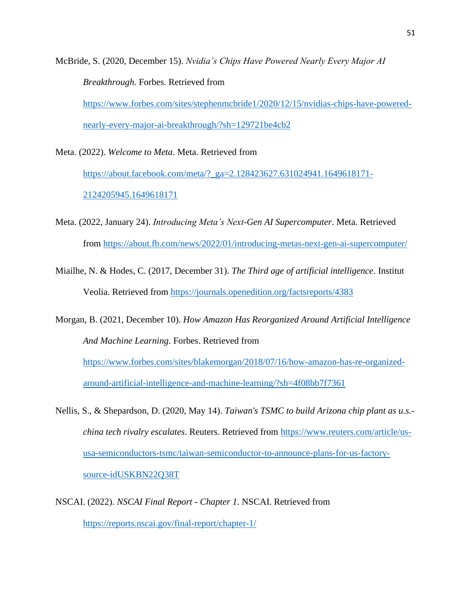McBride, S. (2020, December 15). *Nvidia's Chips Have Powered Nearly Every Major AI Breakthrough*. Forbes. Retrieved from [https://www.forbes.com/sites/stephenmcbride1/2020/12/15/nvidias-chips-have-powered](https://www.forbes.com/sites/stephenmcbride1/2020/12/15/nvidias-chips-have-powered-nearly-every-major-ai-breakthrough/?sh=129721be4cb2)[nearly-every-major-ai-breakthrough/?sh=129721be4cb2](https://www.forbes.com/sites/stephenmcbride1/2020/12/15/nvidias-chips-have-powered-nearly-every-major-ai-breakthrough/?sh=129721be4cb2)

Meta. (2022). *Welcome to Meta*. Meta. Retrieved from [https://about.facebook.com/meta/?\\_ga=2.128423627.631024941.1649618171-](https://about.facebook.com/meta/?_ga=2.128423627.631024941.1649618171-2124205945.1649618171) [2124205945.1649618171](https://about.facebook.com/meta/?_ga=2.128423627.631024941.1649618171-2124205945.1649618171)

- Meta. (2022, January 24). *Introducing Meta's Next-Gen AI Supercomputer*. Meta. Retrieved from<https://about.fb.com/news/2022/01/introducing-metas-next-gen-ai-supercomputer/>
- Miailhe, N. & Hodes, C. (2017, December 31). *The Third age of artificial intelligence*. Institut Veolia. Retrieved from<https://journals.openedition.org/factsreports/4383>

Morgan, B. (2021, December 10). *How Amazon Has Reorganized Around Artificial Intelligence And Machine Learning*. Forbes. Retrieved from [https://www.forbes.com/sites/blakemorgan/2018/07/16/how-amazon-has-re-organized](https://www.forbes.com/sites/blakemorgan/2018/07/16/how-amazon-has-re-organized-around-artificial-intelligence-and-machine-learning/?sh=4f08bb7f7361)[around-artificial-intelligence-and-machine-learning/?sh=4f08bb7f7361](https://www.forbes.com/sites/blakemorgan/2018/07/16/how-amazon-has-re-organized-around-artificial-intelligence-and-machine-learning/?sh=4f08bb7f7361)

- Nellis, S., & Shepardson, D. (2020, May 14). *Taiwan's TSMC to build Arizona chip plant as u.s. china tech rivalry escalates*. Reuters. Retrieved from [https://www.reuters.com/article/us](https://www.reuters.com/article/us-usa-semiconductors-tsmc/taiwan-semiconductor-to-announce-plans-for-us-factory-source-idUSKBN22Q38T)[usa-semiconductors-tsmc/taiwan-semiconductor-to-announce-plans-for-us-factory](https://www.reuters.com/article/us-usa-semiconductors-tsmc/taiwan-semiconductor-to-announce-plans-for-us-factory-source-idUSKBN22Q38T)[source-idUSKBN22Q38T](https://www.reuters.com/article/us-usa-semiconductors-tsmc/taiwan-semiconductor-to-announce-plans-for-us-factory-source-idUSKBN22Q38T)
- NSCAI. (2022). *NSCAI Final Report - Chapter 1*. NSCAI. Retrieved from <https://reports.nscai.gov/final-report/chapter-1/>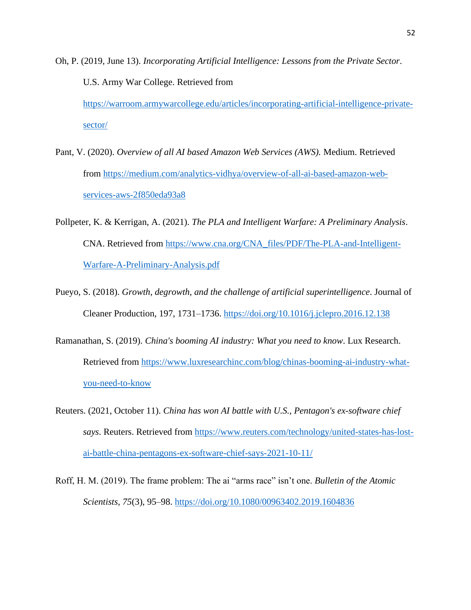Oh, P. (2019, June 13). *Incorporating Artificial Intelligence: Lessons from the Private Sector*. U.S. Army War College. Retrieved from [https://warroom.armywarcollege.edu/articles/incorporating-artificial-intelligence-private](https://warroom.armywarcollege.edu/articles/incorporating-artificial-intelligence-private-sector/)[sector/](https://warroom.armywarcollege.edu/articles/incorporating-artificial-intelligence-private-sector/)

- Pant, V. (2020). *Overview of all AI based Amazon Web Services (AWS).* Medium. Retrieved from [https://medium.com/analytics-vidhya/overview-of-all-ai-based-amazon-web](https://medium.com/analytics-vidhya/overview-of-all-ai-based-amazon-web-services-aws-2f850eda93a8)[services-aws-2f850eda93a8](https://medium.com/analytics-vidhya/overview-of-all-ai-based-amazon-web-services-aws-2f850eda93a8)
- Pollpeter, K. & Kerrigan, A. (2021). *The PLA and Intelligent Warfare: A Preliminary Analysis*. CNA. Retrieved from [https://www.cna.org/CNA\\_files/PDF/The-PLA-and-Intelligent-](https://www.cna.org/CNA_files/PDF/The-PLA-and-Intelligent-Warfare-A-Preliminary-Analysis.pdf)[Warfare-A-Preliminary-Analysis.pdf](https://www.cna.org/CNA_files/PDF/The-PLA-and-Intelligent-Warfare-A-Preliminary-Analysis.pdf)
- Pueyo, S. (2018). *Growth, degrowth, and the challenge of artificial superintelligence*. Journal of Cleaner Production, 197, 1731–1736.<https://doi.org/10.1016/j.jclepro.2016.12.138>
- Ramanathan, S. (2019). *China's booming AI industry: What you need to know*. Lux Research. Retrieved from [https://www.luxresearchinc.com/blog/chinas-booming-ai-industry-what](https://www.luxresearchinc.com/blog/chinas-booming-ai-industry-what-you-need-to-know)[you-need-to-know](https://www.luxresearchinc.com/blog/chinas-booming-ai-industry-what-you-need-to-know)
- Reuters. (2021, October 11). *China has won AI battle with U.S., Pentagon's ex-software chief says*. Reuters. Retrieved from [https://www.reuters.com/technology/united-states-has-lost](https://www.reuters.com/technology/united-states-has-lost-ai-battle-china-pentagons-ex-software-chief-says-2021-10-11/)[ai-battle-china-pentagons-ex-software-chief-says-2021-10-11/](https://www.reuters.com/technology/united-states-has-lost-ai-battle-china-pentagons-ex-software-chief-says-2021-10-11/)
- Roff, H. M. (2019). The frame problem: The ai "arms race" isn't one. *Bulletin of the Atomic Scientists, 75*(3), 95–98.<https://doi.org/10.1080/00963402.2019.1604836>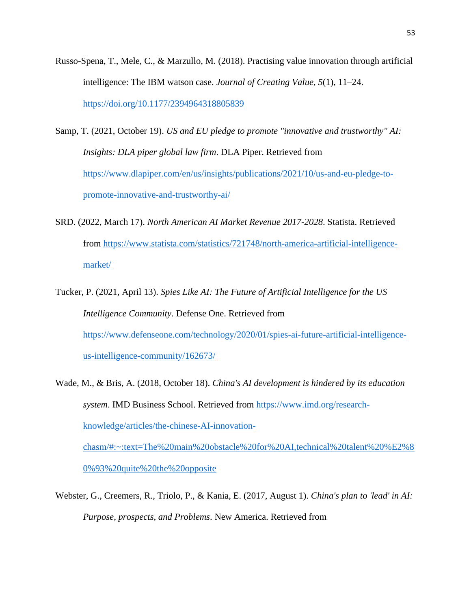- Russo-Spena, T., Mele, C., & Marzullo, M. (2018). Practising value innovation through artificial intelligence: The IBM watson case. *Journal of Creating Value, 5*(1), 11–24. <https://doi.org/10.1177/2394964318805839>
- Samp, T. (2021, October 19). *US and EU pledge to promote "innovative and trustworthy" AI: Insights: DLA piper global law firm*. DLA Piper. Retrieved from [https://www.dlapiper.com/en/us/insights/publications/2021/10/us-and-eu-pledge-to](https://www.dlapiper.com/en/us/insights/publications/2021/10/us-and-eu-pledge-to-promote-innovative-and-trustworthy-ai/)[promote-innovative-and-trustworthy-ai/](https://www.dlapiper.com/en/us/insights/publications/2021/10/us-and-eu-pledge-to-promote-innovative-and-trustworthy-ai/)
- SRD. (2022, March 17). *North American AI Market Revenue 2017-2028*. Statista. Retrieved from [https://www.statista.com/statistics/721748/north-america-artificial-intelligence](https://www.statista.com/statistics/721748/north-america-artificial-intelligence-market/)[market/](https://www.statista.com/statistics/721748/north-america-artificial-intelligence-market/)
- Tucker, P. (2021, April 13). *Spies Like AI: The Future of Artificial Intelligence for the US Intelligence Community*. Defense One. Retrieved from [https://www.defenseone.com/technology/2020/01/spies-ai-future-artificial-intelligence](https://www.defenseone.com/technology/2020/01/spies-ai-future-artificial-intelligence-us-intelligence-community/162673/)[us-intelligence-community/162673/](https://www.defenseone.com/technology/2020/01/spies-ai-future-artificial-intelligence-us-intelligence-community/162673/)
- Wade, M., & Bris, A. (2018, October 18). *China's AI development is hindered by its education system*. IMD Business School. Retrieved from [https://www.imd.org/research](https://www.imd.org/research-knowledge/articles/the-chinese-AI-innovation-chasm/#:~:text=The%20main%20obstacle%20for%20AI,technical%20talent%20%E2%80%93%20quite%20the%20opposite)[knowledge/articles/the-chinese-AI-innovation](https://www.imd.org/research-knowledge/articles/the-chinese-AI-innovation-chasm/#:~:text=The%20main%20obstacle%20for%20AI,technical%20talent%20%E2%80%93%20quite%20the%20opposite)[chasm/#:~:text=The%20main%20obstacle%20for%20AI,technical%20talent%20%E2%8](https://www.imd.org/research-knowledge/articles/the-chinese-AI-innovation-chasm/#:~:text=The%20main%20obstacle%20for%20AI,technical%20talent%20%E2%80%93%20quite%20the%20opposite) [0%93%20quite%20the%20opposite](https://www.imd.org/research-knowledge/articles/the-chinese-AI-innovation-chasm/#:~:text=The%20main%20obstacle%20for%20AI,technical%20talent%20%E2%80%93%20quite%20the%20opposite)
- Webster, G., Creemers, R., Triolo, P., & Kania, E. (2017, August 1). *China's plan to 'lead' in AI: Purpose, prospects, and Problems*. New America. Retrieved from